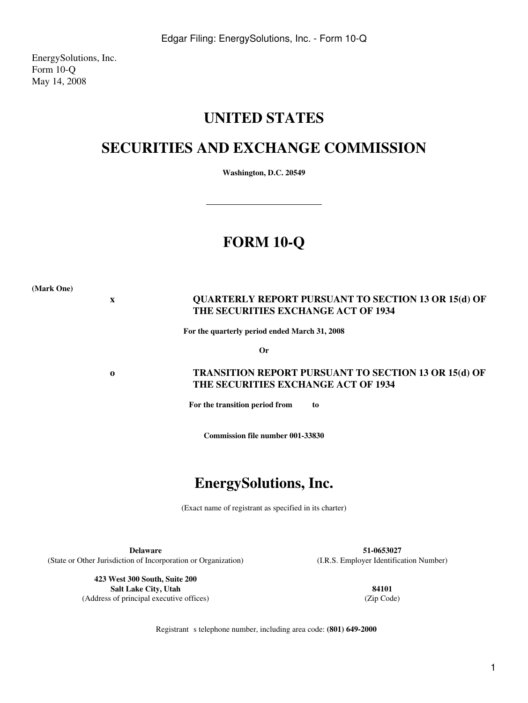EnergySolutions, Inc. Form 10-Q May 14, 2008

# **UNITED STATES**

# **SECURITIES AND EXCHANGE COMMISSION**

**Washington, D.C. 20549**

# **FORM 10-Q**

**(Mark One)**

# **x QUARTERLY REPORT PURSUANT TO SECTION 13 OR 15(d) OF THE SECURITIES EXCHANGE ACT OF 1934**

**For the quarterly period ended March 31, 2008**

**Or**

# **o TRANSITION REPORT PURSUANT TO SECTION 13 OR 15(d) OF THE SECURITIES EXCHANGE ACT OF 1934**

**For the transition period from to** 

**Commission file number 001-33830**

# **EnergySolutions, Inc.**

(Exact name of registrant as specified in its charter)

**Delaware 51-0653027** (State or Other Jurisdiction of Incorporation or Organization) (I.R.S. Employer Identification Number)

**423 West 300 South, Suite 200 Salt Lake City, Utah 84101** (Address of principal executive offices) (Zip Code)

Registrant s telephone number, including area code: **(801) 649-2000**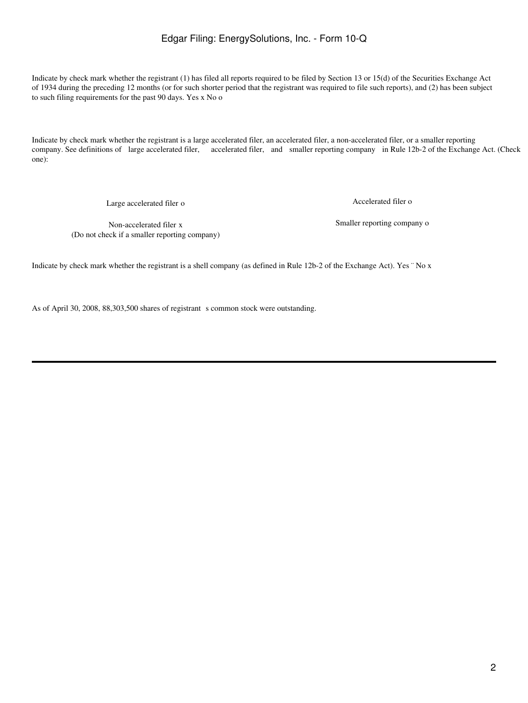Indicate by check mark whether the registrant (1) has filed all reports required to be filed by Section 13 or 15(d) of the Securities Exchange Act of 1934 during the preceding 12 months (or for such shorter period that the registrant was required to file such reports), and (2) has been subject to such filing requirements for the past 90 days. Yes x No o

Indicate by check mark whether the registrant is a large accelerated filer, an accelerated filer, a non-accelerated filer, or a smaller reporting company. See definitions of large accelerated filer, accelerated filer, and smaller reporting company in Rule 12b-2 of the Exchange Act. (Check one):

Large accelerated filer o  $\overline{a}$  Accelerated filer o

(Do not check if a smaller reporting company)

Non-accelerated filer x Smaller reporting company o

Indicate by check mark whether the registrant is a shell company (as defined in Rule 12b-2 of the Exchange Act). Yes ¨ No x

As of April 30, 2008, 88,303,500 shares of registrant s common stock were outstanding.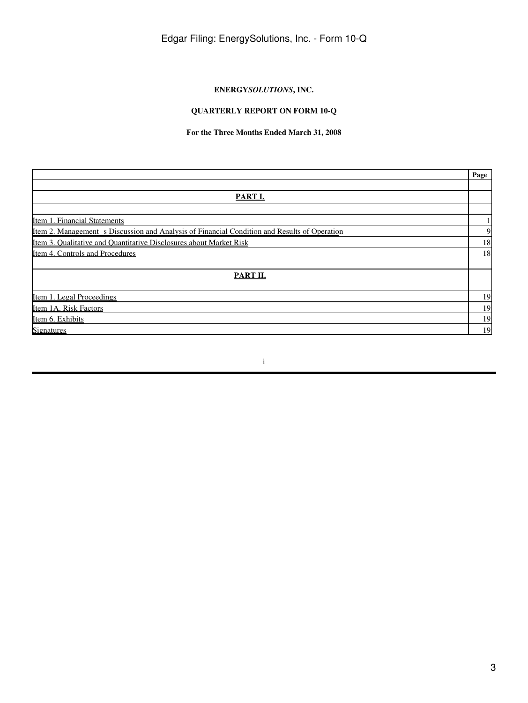# **ENERGY***SOLUTIONS***, INC.**

# **QUARTERLY REPORT ON FORM 10-Q**

# **For the Three Months Ended March 31, 2008**

|                                                                                                     | Page |
|-----------------------------------------------------------------------------------------------------|------|
|                                                                                                     |      |
| <b>PART I.</b>                                                                                      |      |
|                                                                                                     |      |
| Item 1. Financial Statements                                                                        |      |
| <u>Item 2. Management s Discussion and Analysis of Financial Condition and Results of Operation</u> | 9    |
| Item 3. Oualitative and Ouantitative Disclosures about Market Risk                                  | 18   |
| Item 4. Controls and Procedures                                                                     | 18   |
|                                                                                                     |      |
| PART II.                                                                                            |      |
|                                                                                                     |      |
| Item 1. Legal Proceedings                                                                           | 19   |
| Item 1A. Risk Factors                                                                               | 19   |
| Item 6. Exhibits                                                                                    | 19   |
| <b>Signatures</b>                                                                                   | 19   |

i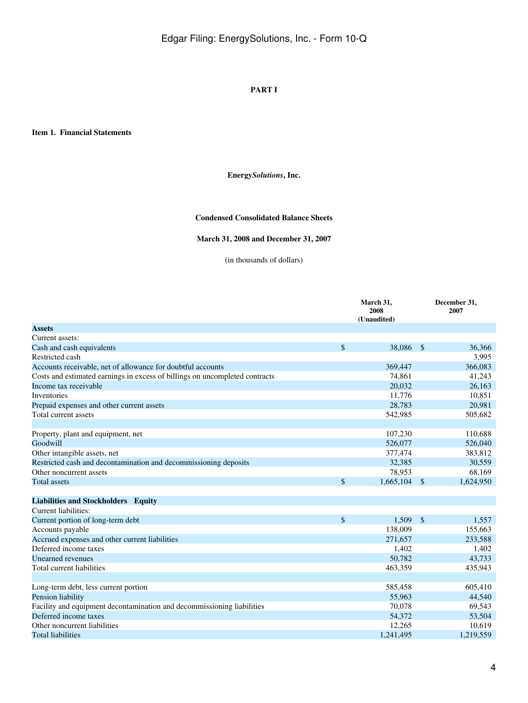## **PART I**

<span id="page-3-1"></span><span id="page-3-0"></span>**Item 1. Financial Statements**

## **Energy***Solutions***, Inc.**

### **Condensed Consolidated Balance Sheets**

# **March 31, 2008 and December 31, 2007**

(in thousands of dollars)

|                                                                             |              | March 31,<br>2008<br>(Unaudited) |                    | December 31,<br>2007 |
|-----------------------------------------------------------------------------|--------------|----------------------------------|--------------------|----------------------|
| <b>Assets</b>                                                               |              |                                  |                    |                      |
| Current assets:                                                             |              |                                  |                    |                      |
| Cash and cash equivalents                                                   | \$           | 38.086                           | $\mathbf{\hat{s}}$ | 36,366               |
| Restricted cash                                                             |              |                                  |                    | 3,995                |
| Accounts receivable, net of allowance for doubtful accounts                 |              | 369,447                          |                    | 366,083              |
| Costs and estimated earnings in excess of billings on uncompleted contracts |              | 74,861                           |                    | 41,243               |
| Income tax receivable                                                       |              | 20,032                           |                    | 26,163               |
| <b>Inventories</b>                                                          |              | 11,776                           |                    | 10,851               |
| Prepaid expenses and other current assets                                   |              | 28,783                           |                    | 20,981               |
| Total current assets                                                        |              | 542,985                          |                    | 505,682              |
|                                                                             |              |                                  |                    |                      |
| Property, plant and equipment, net                                          |              | 107,230                          |                    | 110,688              |
| Goodwill                                                                    |              | 526,077                          |                    | 526,040              |
| Other intangible assets, net                                                |              | 377,474                          |                    | 383,812              |
| Restricted cash and decontamination and decommissioning deposits            |              | 32,385                           |                    | 30,559               |
| Other noncurrent assets                                                     |              | 78,953                           |                    | 68,169               |
| <b>Total assets</b>                                                         | \$           | 1,665,104                        | $\mathbb{S}$       | 1,624,950            |
|                                                                             |              |                                  |                    |                      |
| Liabilities and Stockholders Equity                                         |              |                                  |                    |                      |
| Current liabilities:                                                        |              |                                  |                    |                      |
| Current portion of long-term debt                                           | $\mathbb{S}$ | 1.509                            | $\mathbb{S}$       | 1,557                |
| Accounts payable                                                            |              | 138,009                          |                    | 155,663              |
| Accrued expenses and other current liabilities                              |              | 271,657                          |                    | 233,588              |
| Deferred income taxes                                                       |              | 1,402                            |                    | 1,402                |
| Unearned revenues                                                           |              | 50,782                           |                    | 43,733               |
| Total current liabilities                                                   |              | 463,359                          |                    | 435,943              |
|                                                                             |              |                                  |                    |                      |
| Long-term debt, less current portion                                        |              | 585,458                          |                    | 605,410              |
| Pension liability                                                           |              | 55,963                           |                    | 44,540               |
| Facility and equipment decontamination and decommissioning liabilities      |              | 70,078                           |                    | 69,543               |
| Deferred income taxes                                                       |              | 54,372                           |                    | 53,504               |
| Other noncurrent liabilities                                                |              | 12,265                           |                    | 10,619               |
| <b>Total liabilities</b>                                                    |              | 1,241,495                        |                    | 1,219,559            |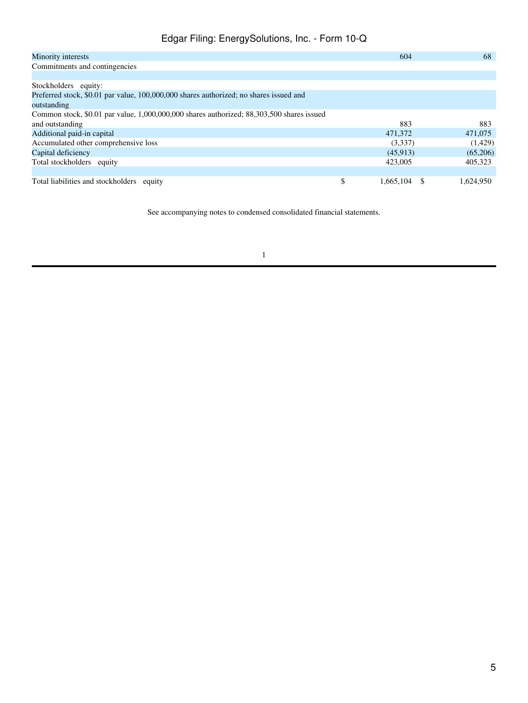| Minority interests                                                                        | 604             | 68        |
|-------------------------------------------------------------------------------------------|-----------------|-----------|
| Commitments and contingencies                                                             |                 |           |
|                                                                                           |                 |           |
| Stockholders equity:                                                                      |                 |           |
| Preferred stock, \$0.01 par value, 100,000,000 shares authorized; no shares issued and    |                 |           |
| outstanding                                                                               |                 |           |
| Common stock, \$0.01 par value, 1,000,000,000 shares authorized; 88,303,500 shares issued |                 |           |
| and outstanding                                                                           | 883             | 883       |
| Additional paid-in capital                                                                | 471,372         | 471,075   |
| Accumulated other comprehensive loss                                                      | (3,337)         | (1,429)   |
| Capital deficiency                                                                        | (45,913)        | (65,206)  |
| Total stockholders equity                                                                 | 423,005         | 405,323   |
|                                                                                           |                 |           |
| Total liabilities and stockholders<br>equity                                              | \$<br>1,665,104 | 1.624.950 |

See accompanying notes to condensed consolidated financial statements.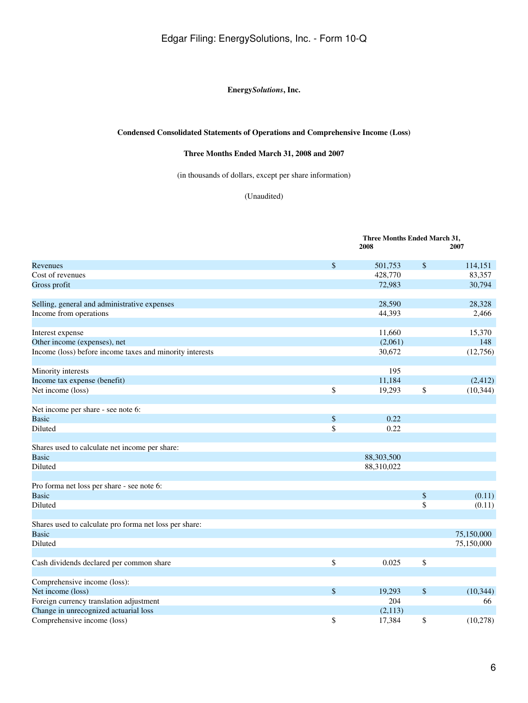## **Energy***Solutions***, Inc.**

## **Condensed Consolidated Statements of Operations and Comprehensive Income (Loss)**

## **Three Months Ended March 31, 2008 and 2007**

(in thousands of dollars, except per share information)

(Unaudited)

**Three Months Ended March 31,**

|                                                          |                   | 2008       |      | 2007       |  |  |
|----------------------------------------------------------|-------------------|------------|------|------------|--|--|
| Revenues                                                 | \$                | 501,753    | \$   | 114,151    |  |  |
| Cost of revenues                                         |                   | 428,770    |      | 83,357     |  |  |
| Gross profit                                             |                   | 72,983     |      | 30,794     |  |  |
| Selling, general and administrative expenses             |                   | 28,590     |      | 28,328     |  |  |
| Income from operations                                   |                   | 44,393     |      | 2,466      |  |  |
| Interest expense                                         |                   | 11,660     |      | 15,370     |  |  |
| Other income (expenses), net                             |                   | (2,061)    |      | 148        |  |  |
| Income (loss) before income taxes and minority interests |                   | 30,672     |      | (12,756)   |  |  |
| Minority interests                                       |                   | 195        |      |            |  |  |
| Income tax expense (benefit)                             |                   | 11,184     |      | (2, 412)   |  |  |
| Net income (loss)                                        | \$                | 19,293     | \$   | (10, 344)  |  |  |
| Net income per share - see note 6:                       |                   |            |      |            |  |  |
| <b>Basic</b>                                             | $\boldsymbol{\$}$ | 0.22       |      |            |  |  |
| Diluted                                                  | \$                | 0.22       |      |            |  |  |
| Shares used to calculate net income per share:           |                   |            |      |            |  |  |
| <b>Basic</b>                                             |                   | 88,303,500 |      |            |  |  |
| Diluted                                                  |                   | 88,310,022 |      |            |  |  |
| Pro forma net loss per share - see note 6:               |                   |            |      |            |  |  |
| <b>Basic</b>                                             |                   |            | \$   | (0.11)     |  |  |
| Diluted                                                  |                   |            | \$   | (0.11)     |  |  |
| Shares used to calculate pro forma net loss per share:   |                   |            |      |            |  |  |
| <b>Basic</b>                                             |                   |            |      | 75,150,000 |  |  |
| Diluted                                                  |                   |            |      | 75,150,000 |  |  |
| Cash dividends declared per common share                 | \$                | 0.025      | \$   |            |  |  |
|                                                          |                   |            |      |            |  |  |
| Comprehensive income (loss):                             |                   |            |      |            |  |  |
| Net income (loss)                                        | $\$\,$            | 19,293     | $\$$ | (10, 344)  |  |  |
| Foreign currency translation adjustment                  |                   | 204        |      | 66         |  |  |
| Change in unrecognized actuarial loss                    |                   | (2,113)    |      |            |  |  |
| Comprehensive income (loss)                              | \$                | 17,384     | \$   | (10,278)   |  |  |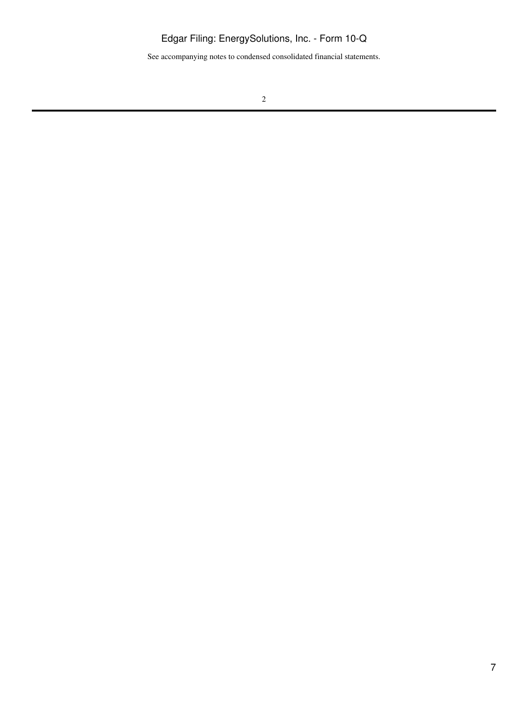See accompanying notes to condensed consolidated financial statements.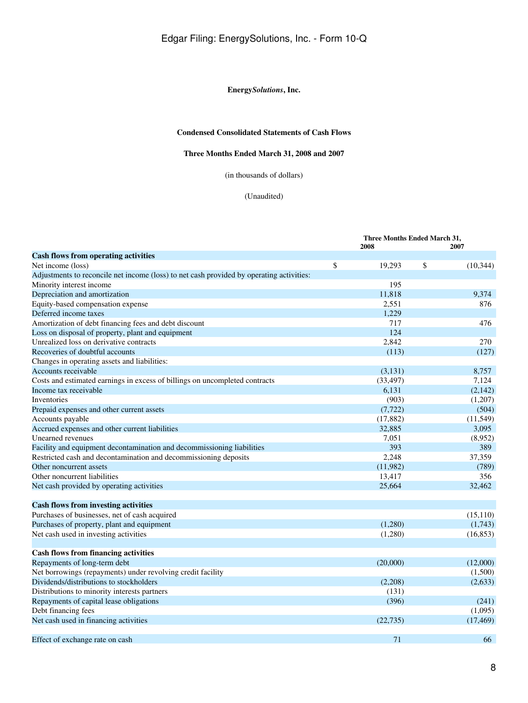## **Energy***Solutions***, Inc.**

## **Condensed Consolidated Statements of Cash Flows**

# **Three Months Ended March 31, 2008 and 2007**

(in thousands of dollars)

### (Unaudited)

|                                                                                          | Three Months Ended March 31, |                 |  |
|------------------------------------------------------------------------------------------|------------------------------|-----------------|--|
|                                                                                          | 2008                         | 2007            |  |
| <b>Cash flows from operating activities</b>                                              |                              |                 |  |
| Net income (loss)                                                                        | \$<br>19,293                 | \$<br>(10, 344) |  |
| Adjustments to reconcile net income (loss) to net cash provided by operating activities: |                              |                 |  |
| Minority interest income                                                                 | 195                          |                 |  |
| Depreciation and amortization                                                            | 11,818                       | 9,374           |  |
| Equity-based compensation expense                                                        | 2,551                        | 876             |  |
| Deferred income taxes                                                                    | 1,229                        |                 |  |
| Amortization of debt financing fees and debt discount                                    | 717                          | 476             |  |
| Loss on disposal of property, plant and equipment                                        | 124                          |                 |  |
| Unrealized loss on derivative contracts                                                  | 2,842                        | 270             |  |
| Recoveries of doubtful accounts                                                          | (113)                        | (127)           |  |
| Changes in operating assets and liabilities:                                             |                              |                 |  |
| Accounts receivable                                                                      | (3,131)                      | 8,757           |  |
| Costs and estimated earnings in excess of billings on uncompleted contracts              | (33, 497)                    | 7,124           |  |
| Income tax receivable                                                                    | 6,131                        | (2,142)         |  |
| Inventories                                                                              | (903)                        | (1,207)         |  |
| Prepaid expenses and other current assets                                                | (7, 722)                     | (504)           |  |
| Accounts payable                                                                         | (17, 882)                    | (11, 549)       |  |
| Accrued expenses and other current liabilities                                           | 32,885                       | 3,095           |  |
| Unearned revenues                                                                        | 7,051                        | (8,952)         |  |
| Facility and equipment decontamination and decommissioning liabilities                   | 393                          | 389             |  |
| Restricted cash and decontamination and decommissioning deposits                         | 2,248                        | 37,359          |  |
| Other noncurrent assets                                                                  | (11,982)                     | (789)           |  |
| Other noncurrent liabilities                                                             | 13,417                       | 356             |  |
| Net cash provided by operating activities                                                | 25,664                       | 32,462          |  |
| <b>Cash flows from investing activities</b>                                              |                              |                 |  |
| Purchases of businesses, net of cash acquired                                            |                              | (15, 110)       |  |
| Purchases of property, plant and equipment                                               | (1,280)                      | (1,743)         |  |
| Net cash used in investing activities                                                    | (1,280)                      | (16, 853)       |  |
|                                                                                          |                              |                 |  |
| <b>Cash flows from financing activities</b>                                              |                              |                 |  |
| Repayments of long-term debt                                                             | (20,000)                     | (12,000)        |  |
| Net borrowings (repayments) under revolving credit facility                              |                              | (1,500)         |  |
| Dividends/distributions to stockholders                                                  | (2,208)                      | (2,633)         |  |
| Distributions to minority interests partners                                             | (131)                        |                 |  |
| Repayments of capital lease obligations                                                  | (396)                        | (241)           |  |
| Debt financing fees                                                                      |                              | (1,095)         |  |
| Net cash used in financing activities                                                    | (22, 735)                    | (17, 469)       |  |
|                                                                                          |                              |                 |  |
| Effect of exchange rate on cash                                                          | 71                           | 66              |  |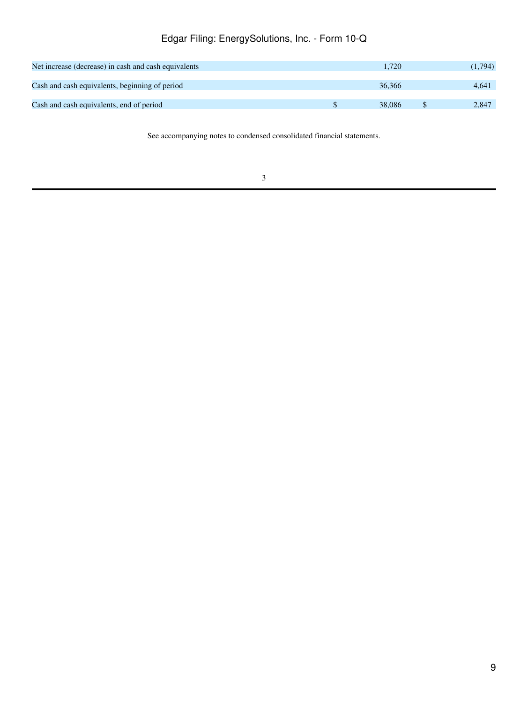| Net increase (decrease) in cash and cash equivalents | 1.720  | (1,794) |
|------------------------------------------------------|--------|---------|
| Cash and cash equivalents, beginning of period       | 36,366 | 4.641   |
| Cash and cash equivalents, end of period             | 38,086 | 2.847   |

See accompanying notes to condensed consolidated financial statements.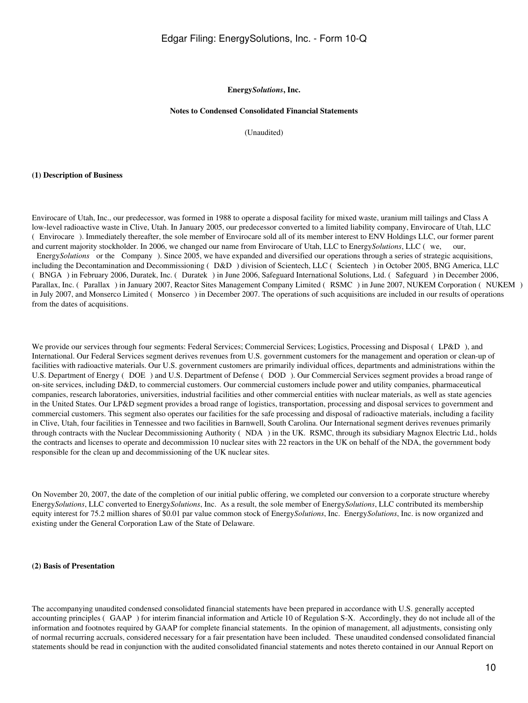#### **Energy***Solutions***, Inc.**

### **Notes to Condensed Consolidated Financial Statements**

(Unaudited)

#### **(1) Description of Business**

Envirocare of Utah, Inc., our predecessor, was formed in 1988 to operate a disposal facility for mixed waste, uranium mill tailings and Class A low-level radioactive waste in Clive, Utah. In January 2005, our predecessor converted to a limited liability company, Envirocare of Utah, LLC (Envirocare). Immediately thereafter, the sole member of Envirocare sold all of its member interest to ENV Holdings LLC, our former parent and current majority stockholder. In 2006, we changed our name from Envirocare of Utah, LLC to Energy*Solutions*, LLC (we, our, Energy*Solutions* or the Company). Since 2005, we have expanded and diversified our operations through a series of strategic acquisitions, including the Decontamination and Decommissioning (D&D) division of Scientech, LLC (Scientech) in October 2005, BNG America, LLC (BNGA) in February 2006, Duratek, Inc. (Duratek) in June 2006, Safeguard International Solutions, Ltd. (Safeguard) in December 2006, Parallax, Inc. (Parallax) in January 2007, Reactor Sites Management Company Limited (RSMC) in June 2007, NUKEM Corporation (NUKEM) in July 2007, and Monserco Limited (Monserco) in December 2007. The operations of such acquisitions are included in our results of operations from the dates of acquisitions.

We provide our services through four segments: Federal Services; Commercial Services; Logistics, Processing and Disposal (LP&D), and International. Our Federal Services segment derives revenues from U.S. government customers for the management and operation or clean-up of facilities with radioactive materials. Our U.S. government customers are primarily individual offices, departments and administrations within the U.S. Department of Energy ( DOE) and U.S. Department of Defense ( DOD ). Our Commercial Services segment provides a broad range of on-site services, including D&D, to commercial customers. Our commercial customers include power and utility companies, pharmaceutical companies, research laboratories, universities, industrial facilities and other commercial entities with nuclear materials, as well as state agencies in the United States. Our LP&D segment provides a broad range of logistics, transportation, processing and disposal services to government and commercial customers. This segment also operates our facilities for the safe processing and disposal of radioactive materials, including a facility in Clive, Utah, four facilities in Tennessee and two facilities in Barnwell, South Carolina. Our International segment derives revenues primarily through contracts with the Nuclear Decommissioning Authority (NDA) in the UK. RSMC, through its subsidiary Magnox Electric Ltd., holds the contracts and licenses to operate and decommission 10 nuclear sites with 22 reactors in the UK on behalf of the NDA, the government body responsible for the clean up and decommissioning of the UK nuclear sites.

On November 20, 2007, the date of the completion of our initial public offering, we completed our conversion to a corporate structure whereby Energy*Solutions*, LLC converted to Energy*Solutions*, Inc. As a result, the sole member of Energy*Solutions*, LLC contributed its membership equity interest for 75.2 million shares of \$0.01 par value common stock of Energy*Solutions*, Inc. Energy*Solutions*, Inc. is now organized and existing under the General Corporation Law of the State of Delaware.

#### **(2) Basis of Presentation**

The accompanying unaudited condensed consolidated financial statements have been prepared in accordance with U.S. generally accepted accounting principles (GAAP) for interim financial information and Article 10 of Regulation S-X. Accordingly, they do not include all of the information and footnotes required by GAAP for complete financial statements. In the opinion of management, all adjustments, consisting only of normal recurring accruals, considered necessary for a fair presentation have been included. These unaudited condensed consolidated financial statements should be read in conjunction with the audited consolidated financial statements and notes thereto contained in our Annual Report on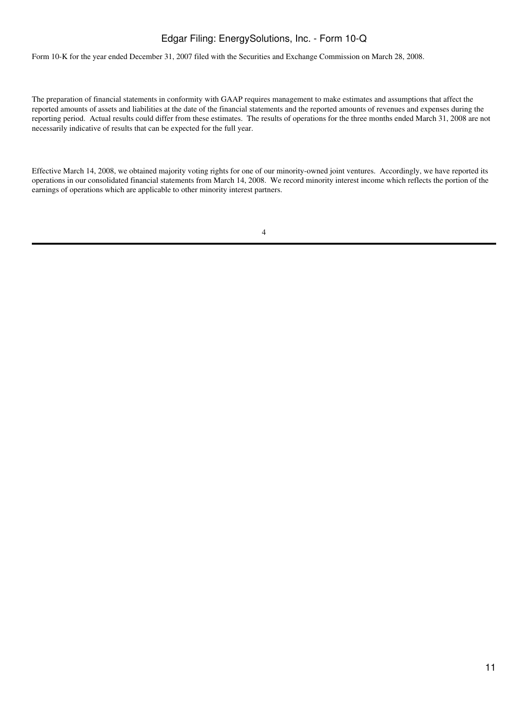Form 10-K for the year ended December 31, 2007 filed with the Securities and Exchange Commission on March 28, 2008.

The preparation of financial statements in conformity with GAAP requires management to make estimates and assumptions that affect the reported amounts of assets and liabilities at the date of the financial statements and the reported amounts of revenues and expenses during the reporting period. Actual results could differ from these estimates. The results of operations for the three months ended March 31, 2008 are not necessarily indicative of results that can be expected for the full year.

Effective March 14, 2008, we obtained majority voting rights for one of our minority-owned joint ventures. Accordingly, we have reported its operations in our consolidated financial statements from March 14, 2008. We record minority interest income which reflects the portion of the earnings of operations which are applicable to other minority interest partners.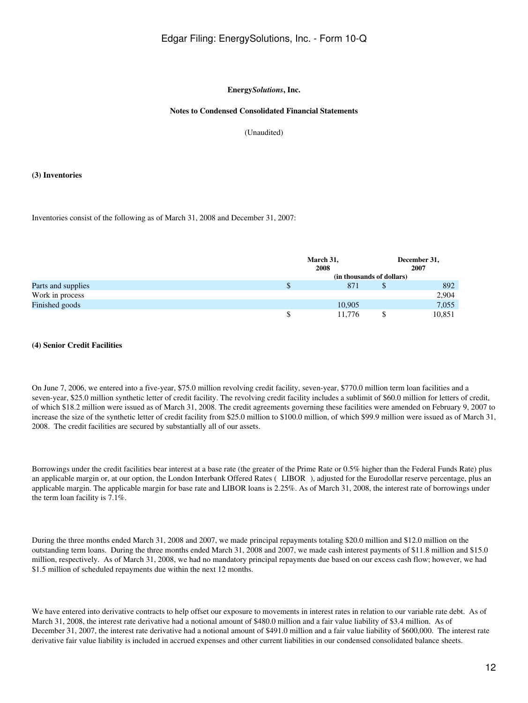#### **Energy***Solutions***, Inc.**

### **Notes to Condensed Consolidated Financial Statements**

(Unaudited)

#### **(3) Inventories**

### Inventories consist of the following as of March 31, 2008 and December 31, 2007:

|                    | March 31,<br>2008 |                           |    | December 31,<br>2007 |  |
|--------------------|-------------------|---------------------------|----|----------------------|--|
|                    |                   | (in thousands of dollars) |    |                      |  |
| Parts and supplies |                   | 871                       | \$ | 892                  |  |
| Work in process    |                   |                           |    | 2,904                |  |
| Finished goods     |                   | 10,905                    |    | 7,055                |  |
|                    |                   | 11.776                    |    | 10,851               |  |

### **(4) Senior Credit Facilities**

On June 7, 2006, we entered into a five-year, \$75.0 million revolving credit facility, seven-year, \$770.0 million term loan facilities and a seven-year, \$25.0 million synthetic letter of credit facility. The revolving credit facility includes a sublimit of \$60.0 million for letters of credit, of which \$18.2 million were issued as of March 31, 2008. The credit agreements governing these facilities were amended on February 9, 2007 to increase the size of the synthetic letter of credit facility from \$25.0 million to \$100.0 million, of which \$99.9 million were issued as of March 31, 2008. The credit facilities are secured by substantially all of our assets.

Borrowings under the credit facilities bear interest at a base rate (the greater of the Prime Rate or 0.5% higher than the Federal Funds Rate) plus an applicable margin or, at our option, the London Interbank Offered Rates (LIBOR), adjusted for the Eurodollar reserve percentage, plus an applicable margin. The applicable margin for base rate and LIBOR loans is 2.25%. As of March 31, 2008, the interest rate of borrowings under the term loan facility is 7.1%.

During the three months ended March 31, 2008 and 2007, we made principal repayments totaling \$20.0 million and \$12.0 million on the outstanding term loans. During the three months ended March 31, 2008 and 2007, we made cash interest payments of \$11.8 million and \$15.0 million, respectively. As of March 31, 2008, we had no mandatory principal repayments due based on our excess cash flow; however, we had \$1.5 million of scheduled repayments due within the next 12 months.

We have entered into derivative contracts to help offset our exposure to movements in interest rates in relation to our variable rate debt. As of March 31, 2008, the interest rate derivative had a notional amount of \$480.0 million and a fair value liability of \$3.4 million. As of December 31, 2007, the interest rate derivative had a notional amount of \$491.0 million and a fair value liability of \$600,000. The interest rate derivative fair value liability is included in accrued expenses and other current liabilities in our condensed consolidated balance sheets.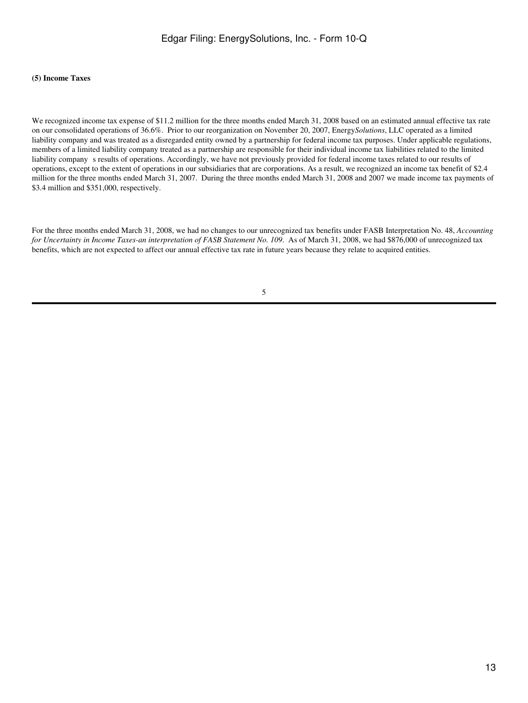### **(5) Income Taxes**

We recognized income tax expense of \$11.2 million for the three months ended March 31, 2008 based on an estimated annual effective tax rate on our consolidated operations of 36.6%. Prior to our reorganization on November 20, 2007, Energy*Solutions*, LLC operated as a limited liability company and was treated as a disregarded entity owned by a partnership for federal income tax purposes. Under applicable regulations, members of a limited liability company treated as a partnership are responsible for their individual income tax liabilities related to the limited liability company s results of operations. Accordingly, we have not previously provided for federal income taxes related to our results of operations, except to the extent of operations in our subsidiaries that are corporations. As a result, we recognized an income tax benefit of \$2.4 million for the three months ended March 31, 2007. During the three months ended March 31, 2008 and 2007 we made income tax payments of \$3.4 million and \$351,000, respectively.

For the three months ended March 31, 2008, we had no changes to our unrecognized tax benefits under FASB Interpretation No. 48, *Accounting for Uncertainty in Income Taxes-an interpretation of FASB Statement No. 109*. As of March 31, 2008, we had \$876,000 of unrecognized tax benefits, which are not expected to affect our annual effective tax rate in future years because they relate to acquired entities.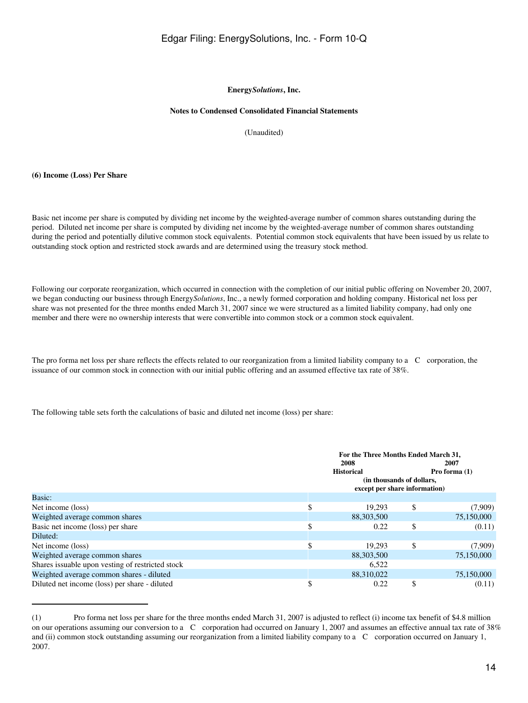#### **Energy***Solutions***, Inc.**

### **Notes to Condensed Consolidated Financial Statements**

(Unaudited)

#### **(6) Income (Loss) Per Share**

Basic net income per share is computed by dividing net income by the weighted-average number of common shares outstanding during the period. Diluted net income per share is computed by dividing net income by the weighted-average number of common shares outstanding during the period and potentially dilutive common stock equivalents. Potential common stock equivalents that have been issued by us relate to outstanding stock option and restricted stock awards and are determined using the treasury stock method.

Following our corporate reorganization, which occurred in connection with the completion of our initial public offering on November 20, 2007, we began conducting our business through Energy*Solutions*, Inc., a newly formed corporation and holding company. Historical net loss per share was not presented for the three months ended March 31, 2007 since we were structured as a limited liability company, had only one member and there were no ownership interests that were convertible into common stock or a common stock equivalent.

The pro forma net loss per share reflects the effects related to our reorganization from a limited liability company to a C corporation, the issuance of our common stock in connection with our initial public offering and an assumed effective tax rate of 38%.

The following table sets forth the calculations of basic and diluted net income (loss) per share:

|                                                  | For the Three Months Ended March 31,<br>2008<br>2007<br><b>Historical</b><br>Pro forma $(1)$ |    |            |  |  |
|--------------------------------------------------|----------------------------------------------------------------------------------------------|----|------------|--|--|
|                                                  | (in thousands of dollars,<br>except per share information)                                   |    |            |  |  |
| Basic:                                           |                                                                                              |    |            |  |  |
| Net income (loss)                                | \$<br>19.293                                                                                 | \$ | (7,909)    |  |  |
| Weighted average common shares                   | 88,303,500                                                                                   |    | 75,150,000 |  |  |
| Basic net income (loss) per share                | \$<br>0.22                                                                                   | \$ | (0.11)     |  |  |
| Diluted:                                         |                                                                                              |    |            |  |  |
| Net income (loss)                                | \$<br>19.293                                                                                 | \$ | (7,909)    |  |  |
| Weighted average common shares                   | 88,303,500                                                                                   |    | 75,150,000 |  |  |
| Shares issuable upon vesting of restricted stock | 6,522                                                                                        |    |            |  |  |
| Weighted average common shares - diluted         | 88,310,022                                                                                   |    | 75,150,000 |  |  |
| Diluted net income (loss) per share - diluted    | 0.22                                                                                         |    | (0.11)     |  |  |

<sup>(1)</sup> Pro forma net loss per share for the three months ended March 31, 2007 is adjusted to reflect (i) income tax benefit of \$4.8 million on our operations assuming our conversion to a C corporation had occurred on January 1, 2007 and assumes an effective annual tax rate of 38% and (ii) common stock outstanding assuming our reorganization from a limited liability company to a C corporation occurred on January 1, 2007.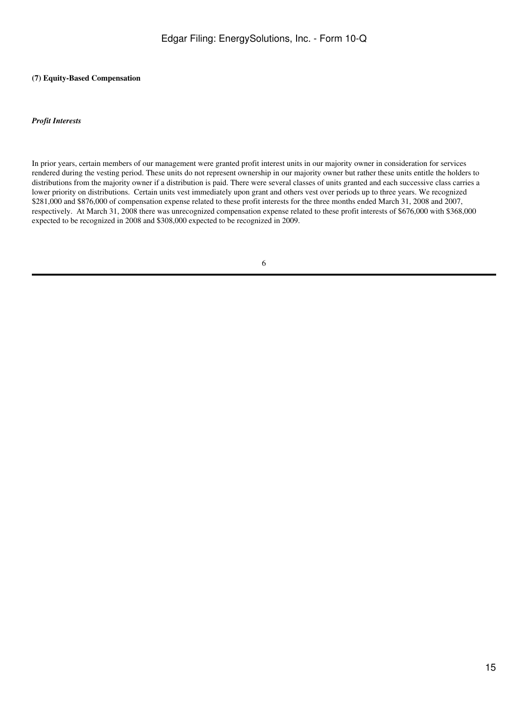## **(7) Equity-Based Compensation**

### *Profit Interests*

In prior years, certain members of our management were granted profit interest units in our majority owner in consideration for services rendered during the vesting period. These units do not represent ownership in our majority owner but rather these units entitle the holders to distributions from the majority owner if a distribution is paid. There were several classes of units granted and each successive class carries a lower priority on distributions. Certain units vest immediately upon grant and others vest over periods up to three years. We recognized \$281,000 and \$876,000 of compensation expense related to these profit interests for the three months ended March 31, 2008 and 2007, respectively. At March 31, 2008 there was unrecognized compensation expense related to these profit interests of \$676,000 with \$368,000 expected to be recognized in 2008 and \$308,000 expected to be recognized in 2009.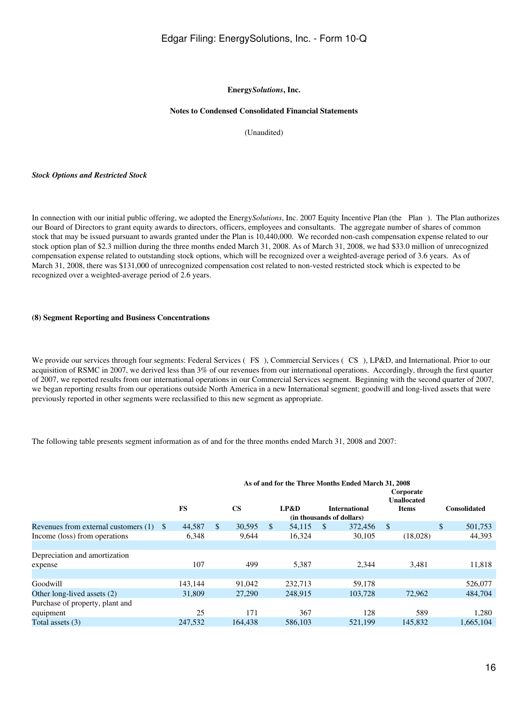#### **Energy***Solutions***, Inc.**

### **Notes to Condensed Consolidated Financial Statements**

(Unaudited)

#### *Stock Options and Restricted Stock*

In connection with our initial public offering, we adopted the Energy*Solutions*, Inc. 2007 Equity Incentive Plan (the Plan). The Plan authorizes our Board of Directors to grant equity awards to directors, officers, employees and consultants. The aggregate number of shares of common stock that may be issued pursuant to awards granted under the Plan is 10,440,000. We recorded non-cash compensation expense related to our stock option plan of \$2.3 million during the three months ended March 31, 2008. As of March 31, 2008, we had \$33.0 million of unrecognized compensation expense related to outstanding stock options, which will be recognized over a weighted-average period of 3.6 years. As of March 31, 2008, there was \$131,000 of unrecognized compensation cost related to non-vested restricted stock which is expected to be recognized over a weighted-average period of 2.6 years.

#### **(8) Segment Reporting and Business Concentrations**

We provide our services through four segments: Federal Services (FS), Commercial Services (CS), LP&D, and International. Prior to our acquisition of RSMC in 2007, we derived less than 3% of our revenues from our international operations. Accordingly, through the first quarter of 2007, we reported results from our international operations in our Commercial Services segment. Beginning with the second quarter of 2007, we began reporting results from our operations outside North America in a new International segment; goodwill and long-lived assets that were previously reported in other segments were reclassified to this new segment as appropriate.

The following table presents segment information as of and for the three months ended March 31, 2008 and 2007:

|                                      | As of and for the Three Months Ended March 31, 2008 |           |     |           |     |         |          |                                                   |                                                 |    |                     |
|--------------------------------------|-----------------------------------------------------|-----------|-----|-----------|-----|---------|----------|---------------------------------------------------|-------------------------------------------------|----|---------------------|
|                                      |                                                     | <b>FS</b> |     | <b>CS</b> |     | LP&D    |          | <b>International</b><br>(in thousands of dollars) | Corporate<br><b>Unallocated</b><br><b>Items</b> |    | <b>Consolidated</b> |
| Revenues from external customers (1) | -S                                                  | 44,587    | \$. | 30,595    | \$. | 54,115  | <b>S</b> | 372,456                                           | <sup>\$</sup>                                   | \$ | 501,753             |
| Income (loss) from operations        |                                                     | 6,348     |     | 9,644     |     | 16,324  |          | 30,105                                            | (18,028)                                        |    | 44,393              |
|                                      |                                                     |           |     |           |     |         |          |                                                   |                                                 |    |                     |
| Depreciation and amortization        |                                                     |           |     |           |     |         |          |                                                   |                                                 |    |                     |
| expense                              |                                                     | 107       |     | 499       |     | 5,387   |          | 2,344                                             | 3,481                                           |    | 11,818              |
|                                      |                                                     |           |     |           |     |         |          |                                                   |                                                 |    |                     |
| Goodwill                             |                                                     | 143.144   |     | 91,042    |     | 232,713 |          | 59,178                                            |                                                 |    | 526,077             |
| Other long-lived assets (2)          |                                                     | 31,809    |     | 27,290    |     | 248,915 |          | 103.728                                           | 72,962                                          |    | 484,704             |
| Purchase of property, plant and      |                                                     |           |     |           |     |         |          |                                                   |                                                 |    |                     |
| equipment                            |                                                     | 25        |     | 171       |     | 367     |          | 128                                               | 589                                             |    | 1,280               |
| Total assets (3)                     |                                                     | 247.532   |     | 164.438   |     | 586,103 |          | 521.199                                           | 145,832                                         |    | 1,665,104           |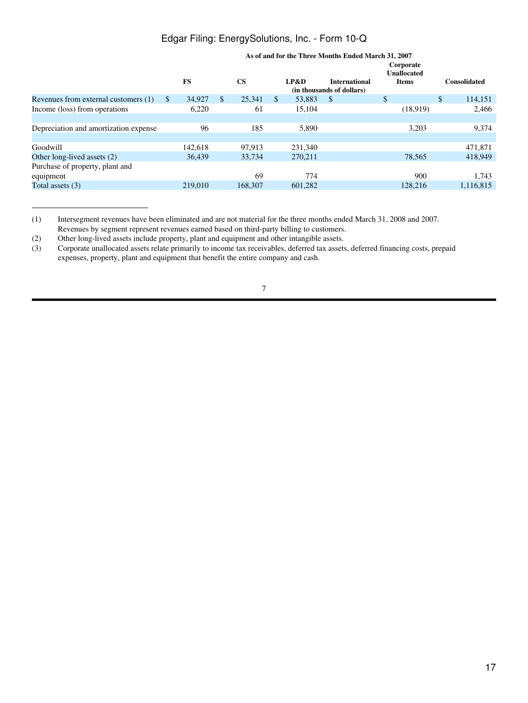|                                       | As of and for the Three Months Ended March 31, 2007<br>Corporate<br><b>Unallocated</b> |           |               |               |     |         |                                                   |              |    |                     |
|---------------------------------------|----------------------------------------------------------------------------------------|-----------|---------------|---------------|-----|---------|---------------------------------------------------|--------------|----|---------------------|
|                                       |                                                                                        | <b>FS</b> |               | $\mathbf{CS}$ |     | LP&D    | <b>International</b><br>(in thousands of dollars) | <b>Items</b> |    | <b>Consolidated</b> |
| Revenues from external customers (1)  | <sup>\$</sup>                                                                          | 34,927    | <sup>\$</sup> | 25.341        | \$. | 53,883  | <sup>\$</sup>                                     | \$           | \$ | 114,151             |
| Income (loss) from operations         |                                                                                        | 6,220     |               | 61            |     | 15,104  |                                                   | (18,919)     |    | 2,466               |
|                                       |                                                                                        |           |               |               |     |         |                                                   |              |    |                     |
| Depreciation and amortization expense |                                                                                        | 96        |               | 185           |     | 5,890   |                                                   | 3,203        |    | 9,374               |
|                                       |                                                                                        |           |               |               |     |         |                                                   |              |    |                     |
| Goodwill                              |                                                                                        | 142,618   |               | 97.913        |     | 231,340 |                                                   |              |    | 471.871             |
| Other long-lived assets (2)           |                                                                                        | 36.439    |               | 33,734        |     | 270.211 |                                                   | 78,565       |    | 418.949             |
| Purchase of property, plant and       |                                                                                        |           |               |               |     |         |                                                   |              |    |                     |
| equipment                             |                                                                                        |           |               | 69            |     | 774     |                                                   | 900          |    | 1.743               |
| Total assets $(3)$                    |                                                                                        | 219,010   |               | 168,307       |     | 601,282 |                                                   | 128,216      |    | 1,116,815           |
|                                       |                                                                                        |           |               |               |     |         |                                                   |              |    |                     |

<sup>(1)</sup> Intersegment revenues have been eliminated and are not material for the three months ended March 31, 2008 and 2007.

Revenues by segment represent revenues earned based on third-party billing to customers.

<sup>(2)</sup> Other long-lived assets include property, plant and equipment and other intangible assets.<br>
(3) Corporate unallocated assets relate primarily to income tax receivables, deferred tax assets (3) Corporate unallocated assets relate primarily to income tax receivables, deferred tax assets, deferred financing costs, prepaid expenses, property, plant and equipment that benefit the entire company and cash.

<sup>7</sup>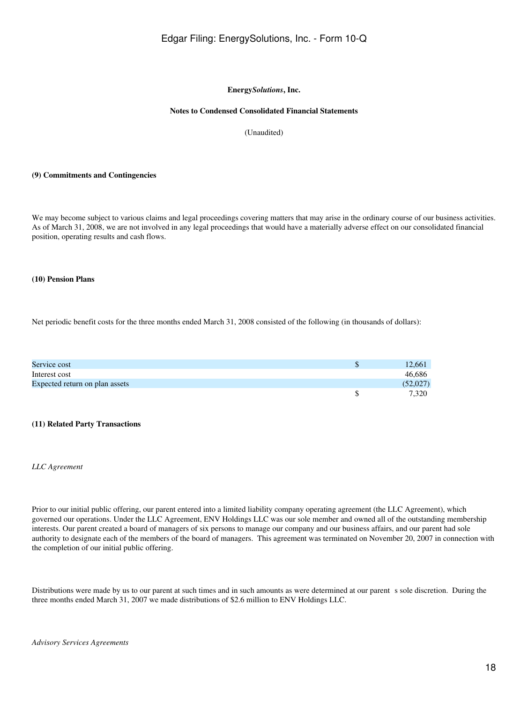## **Energy***Solutions***, Inc.**

### **Notes to Condensed Consolidated Financial Statements**

(Unaudited)

#### **(9) Commitments and Contingencies**

We may become subject to various claims and legal proceedings covering matters that may arise in the ordinary course of our business activities. As of March 31, 2008, we are not involved in any legal proceedings that would have a materially adverse effect on our consolidated financial position, operating results and cash flows.

#### **(10) Pension Plans**

Net periodic benefit costs for the three months ended March 31, 2008 consisted of the following (in thousands of dollars):

| Service cost                   | 12,661   |
|--------------------------------|----------|
| Interest cost                  | 46,686   |
| Expected return on plan assets | (52,027) |
|                                | 7.320    |

### **(11) Related Party Transactions**

#### *LLC Agreement*

Prior to our initial public offering, our parent entered into a limited liability company operating agreement (the LLC Agreement), which governed our operations. Under the LLC Agreement, ENV Holdings LLC was our sole member and owned all of the outstanding membership interests. Our parent created a board of managers of six persons to manage our company and our business affairs, and our parent had sole authority to designate each of the members of the board of managers. This agreement was terminated on November 20, 2007 in connection with the completion of our initial public offering.

Distributions were made by us to our parent at such times and in such amounts as were determined at our parent s sole discretion. During the three months ended March 31, 2007 we made distributions of \$2.6 million to ENV Holdings LLC.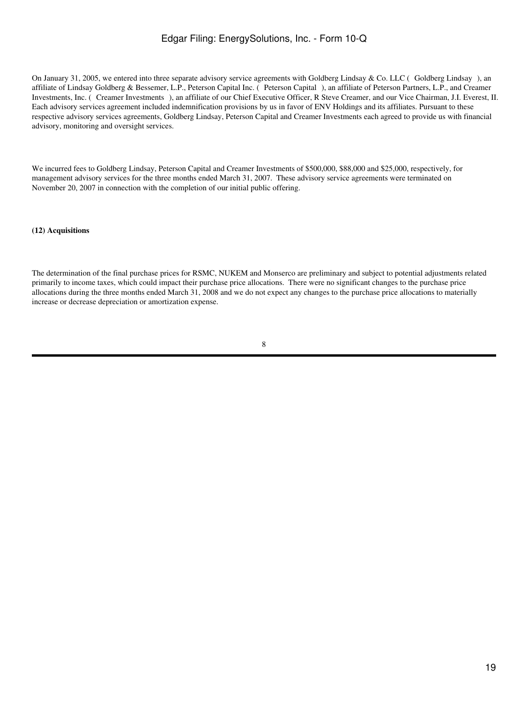On January 31, 2005, we entered into three separate advisory service agreements with Goldberg Lindsay & Co. LLC (Goldberg Lindsay), an affiliate of Lindsay Goldberg & Bessemer, L.P., Peterson Capital Inc. (Peterson Capital), an affiliate of Peterson Partners, L.P., and Creamer Investments, Inc. (Creamer Investments), an affiliate of our Chief Executive Officer, R Steve Creamer, and our Vice Chairman, J.I. Everest, II. Each advisory services agreement included indemnification provisions by us in favor of ENV Holdings and its affiliates. Pursuant to these respective advisory services agreements, Goldberg Lindsay, Peterson Capital and Creamer Investments each agreed to provide us with financial advisory, monitoring and oversight services.

We incurred fees to Goldberg Lindsay, Peterson Capital and Creamer Investments of \$500,000, \$88,000 and \$25,000, respectively, for management advisory services for the three months ended March 31, 2007. These advisory service agreements were terminated on November 20, 2007 in connection with the completion of our initial public offering.

#### **(12) Acquisitions**

The determination of the final purchase prices for RSMC, NUKEM and Monserco are preliminary and subject to potential adjustments related primarily to income taxes, which could impact their purchase price allocations. There were no significant changes to the purchase price allocations during the three months ended March 31, 2008 and we do not expect any changes to the purchase price allocations to materially increase or decrease depreciation or amortization expense.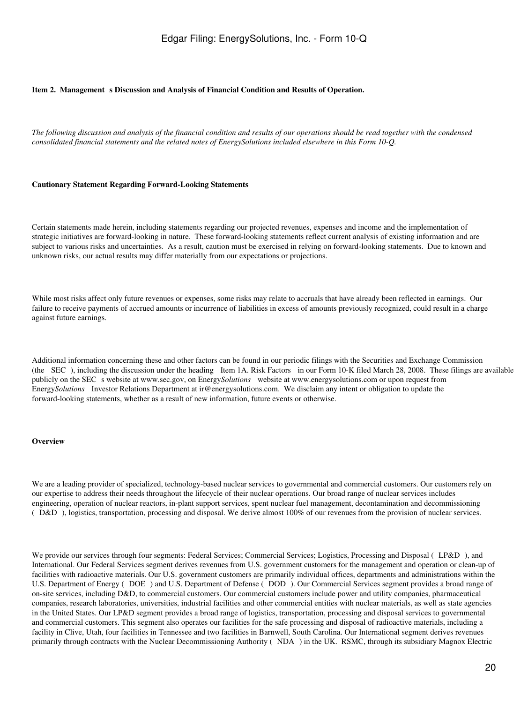#### <span id="page-19-0"></span>Item 2. Management s Discussion and Analysis of Financial Condition and Results of Operation.

*The following discussion and analysis of the financial condition and results of our operations should be read together with the condensed consolidated financial statements and the related notes of EnergySolutions included elsewhere in this Form 10-Q.*

#### **Cautionary Statement Regarding Forward-Looking Statements**

Certain statements made herein, including statements regarding our projected revenues, expenses and income and the implementation of strategic initiatives are forward-looking in nature. These forward-looking statements reflect current analysis of existing information and are subject to various risks and uncertainties. As a result, caution must be exercised in relying on forward-looking statements. Due to known and unknown risks, our actual results may differ materially from our expectations or projections.

While most risks affect only future revenues or expenses, some risks may relate to accruals that have already been reflected in earnings. Our failure to receive payments of accrued amounts or incurrence of liabilities in excess of amounts previously recognized, could result in a charge against future earnings.

Additional information concerning these and other factors can be found in our periodic filings with the Securities and Exchange Commission (the SEC), including the discussion under the heading Item 1A. Risk Factors in our Form 10-K filed March 28, 2008. These filings are available publicly on the SEC s website at www.sec.gov, on Energy*Solutions* website at www.energysolutions.com or upon request from Energy*Solutions* Investor Relations Department at ir@energysolutions.com. We disclaim any intent or obligation to update the forward-looking statements, whether as a result of new information, future events or otherwise.

#### **Overview**

We are a leading provider of specialized, technology-based nuclear services to governmental and commercial customers. Our customers rely on our expertise to address their needs throughout the lifecycle of their nuclear operations. Our broad range of nuclear services includes engineering, operation of nuclear reactors, in-plant support services, spent nuclear fuel management, decontamination and decommissioning (D&D), logistics, transportation, processing and disposal. We derive almost 100% of our revenues from the provision of nuclear services.

We provide our services through four segments: Federal Services; Commercial Services; Logistics, Processing and Disposal (LP&D), and International. Our Federal Services segment derives revenues from U.S. government customers for the management and operation or clean-up of facilities with radioactive materials. Our U.S. government customers are primarily individual offices, departments and administrations within the U.S. Department of Energy (DOE) and U.S. Department of Defense (DOD). Our Commercial Services segment provides a broad range of on-site services, including D&D, to commercial customers. Our commercial customers include power and utility companies, pharmaceutical companies, research laboratories, universities, industrial facilities and other commercial entities with nuclear materials, as well as state agencies in the United States. Our LP&D segment provides a broad range of logistics, transportation, processing and disposal services to governmental and commercial customers. This segment also operates our facilities for the safe processing and disposal of radioactive materials, including a facility in Clive, Utah, four facilities in Tennessee and two facilities in Barnwell, South Carolina. Our International segment derives revenues primarily through contracts with the Nuclear Decommissioning Authority (NDA) in the UK. RSMC, through its subsidiary Magnox Electric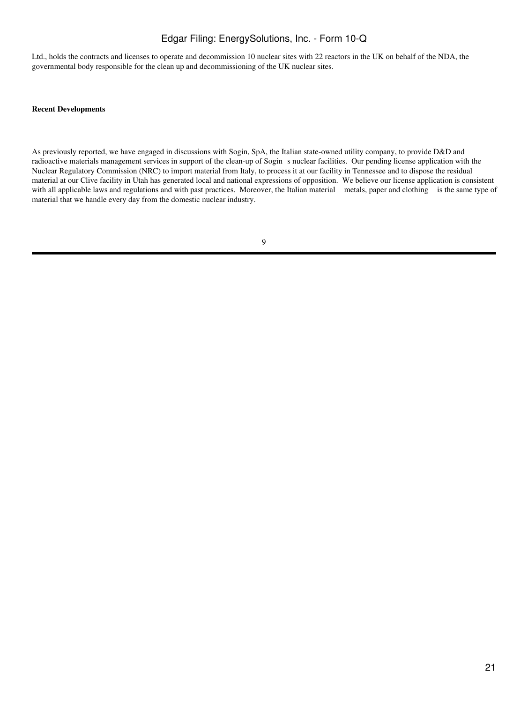Ltd., holds the contracts and licenses to operate and decommission 10 nuclear sites with 22 reactors in the UK on behalf of the NDA, the governmental body responsible for the clean up and decommissioning of the UK nuclear sites.

#### **Recent Developments**

As previously reported, we have engaged in discussions with Sogin, SpA, the Italian state-owned utility company, to provide D&D and radioactive materials management services in support of the clean-up of Sogins nuclear facilities. Our pending license application with the Nuclear Regulatory Commission (NRC) to import material from Italy, to process it at our facility in Tennessee and to dispose the residual material at our Clive facility in Utah has generated local and national expressions of opposition. We believe our license application is consistent with all applicable laws and regulations and with past practices. Moreover, the Italian material metals, paper and clothing is the same type of material that we handle every day from the domestic nuclear industry.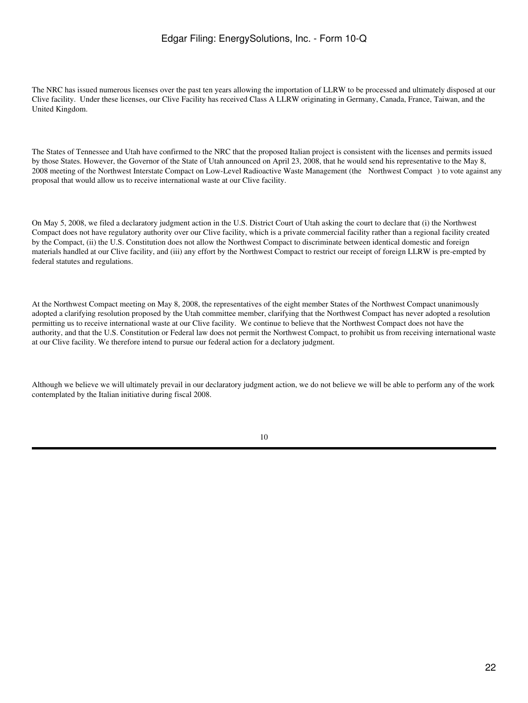The NRC has issued numerous licenses over the past ten years allowing the importation of LLRW to be processed and ultimately disposed at our Clive facility. Under these licenses, our Clive Facility has received Class A LLRW originating in Germany, Canada, France, Taiwan, and the United Kingdom.

The States of Tennessee and Utah have confirmed to the NRC that the proposed Italian project is consistent with the licenses and permits issued by those States. However, the Governor of the State of Utah announced on April 23, 2008, that he would send his representative to the May 8, 2008 meeting of the Northwest Interstate Compact on Low-Level Radioactive Waste Management (the Northwest Compact) to vote against any proposal that would allow us to receive international waste at our Clive facility.

On May 5, 2008, we filed a declaratory judgment action in the U.S. District Court of Utah asking the court to declare that (i) the Northwest Compact does not have regulatory authority over our Clive facility, which is a private commercial facility rather than a regional facility created by the Compact, (ii) the U.S. Constitution does not allow the Northwest Compact to discriminate between identical domestic and foreign materials handled at our Clive facility, and (iii) any effort by the Northwest Compact to restrict our receipt of foreign LLRW is pre-empted by federal statutes and regulations.

At the Northwest Compact meeting on May 8, 2008, the representatives of the eight member States of the Northwest Compact unanimously adopted a clarifying resolution proposed by the Utah committee member, clarifying that the Northwest Compact has never adopted a resolution permitting us to receive international waste at our Clive facility. We continue to believe that the Northwest Compact does not have the authority, and that the U.S. Constitution or Federal law does not permit the Northwest Compact, to prohibit us from receiving international waste at our Clive facility. We therefore intend to pursue our federal action for a declatory judgment.

Although we believe we will ultimately prevail in our declaratory judgment action, we do not believe we will be able to perform any of the work contemplated by the Italian initiative during fiscal 2008.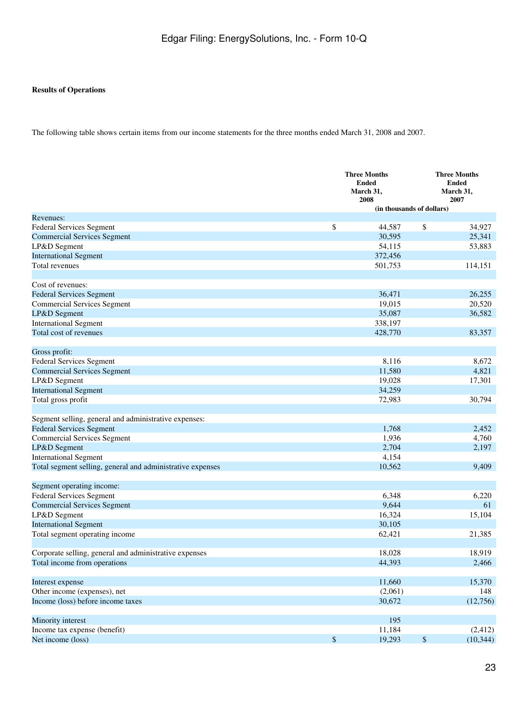# **Results of Operations**

The following table shows certain items from our income statements for the three months ended March 31, 2008 and 2007.

|                                                            |              | <b>Three Months</b><br><b>Ended</b><br>March 31,<br>2008 |              |           |
|------------------------------------------------------------|--------------|----------------------------------------------------------|--------------|-----------|
|                                                            |              | (in thousands of dollars)                                |              | 2007      |
| Revenues:                                                  |              |                                                          |              |           |
| Federal Services Segment                                   | \$           | 44,587                                                   | \$           | 34,927    |
| <b>Commercial Services Segment</b>                         |              | 30,595                                                   |              | 25,341    |
| LP&D Segment                                               |              | 54,115                                                   |              | 53,883    |
| <b>International Segment</b>                               |              | 372,456                                                  |              |           |
| <b>Total revenues</b>                                      |              | 501,753                                                  |              | 114,151   |
| Cost of revenues:                                          |              |                                                          |              |           |
| <b>Federal Services Segment</b>                            |              | 36,471                                                   |              | 26,255    |
| <b>Commercial Services Segment</b>                         |              | 19,015                                                   |              | 20,520    |
| LP&D Segment                                               |              | 35,087                                                   |              | 36,582    |
| <b>International Segment</b>                               |              | 338,197                                                  |              |           |
| Total cost of revenues                                     |              | 428,770                                                  |              | 83,357    |
| Gross profit:                                              |              |                                                          |              |           |
| Federal Services Segment                                   |              | 8,116                                                    |              | 8,672     |
| <b>Commercial Services Segment</b>                         |              | 11,580                                                   |              | 4,821     |
| LP&D Segment                                               |              | 19,028                                                   |              | 17,301    |
| <b>International Segment</b>                               |              | 34,259                                                   |              |           |
| Total gross profit                                         |              | 72,983                                                   |              | 30,794    |
| Segment selling, general and administrative expenses:      |              |                                                          |              |           |
| <b>Federal Services Segment</b>                            |              | 1,768                                                    |              | 2,452     |
| <b>Commercial Services Segment</b>                         |              | 1,936                                                    |              | 4,760     |
| LP&D Segment                                               |              | 2,704                                                    |              | 2,197     |
| <b>International Segment</b>                               |              | 4,154                                                    |              |           |
| Total segment selling, general and administrative expenses |              | 10,562                                                   |              | 9,409     |
| Segment operating income:                                  |              |                                                          |              |           |
| Federal Services Segment                                   |              | 6,348                                                    |              | 6,220     |
| <b>Commercial Services Segment</b>                         |              | 9,644                                                    |              | 61        |
| LP&D Segment                                               |              | 16,324                                                   |              | 15,104    |
| <b>International Segment</b>                               |              | 30,105                                                   |              |           |
| Total segment operating income                             |              | 62,421                                                   |              | 21,385    |
| Corporate selling, general and administrative expenses     |              | 18,028                                                   |              | 18,919    |
| Total income from operations                               |              | 44,393                                                   |              | 2,466     |
| Interest expense                                           |              | 11,660                                                   |              | 15,370    |
| Other income (expenses), net                               |              | (2,061)                                                  |              | 148       |
| Income (loss) before income taxes                          |              | 30,672                                                   |              | (12,756)  |
| Minority interest                                          |              | 195                                                      |              |           |
| Income tax expense (benefit)                               |              | 11,184                                                   |              | (2,412)   |
| Net income (loss)                                          | $\mathbb{S}$ | 19,293                                                   | $\mathbb{S}$ | (10, 344) |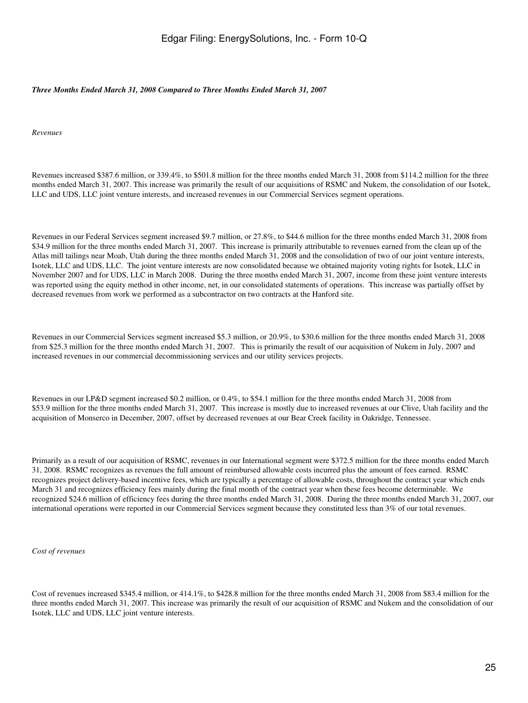### *Three Months Ended March 31, 2008 Compared to Three Months Ended March 31, 2007*

*Revenues*

Revenues increased \$387.6 million, or 339.4%, to \$501.8 million for the three months ended March 31, 2008 from \$114.2 million for the three months ended March 31, 2007. This increase was primarily the result of our acquisitions of RSMC and Nukem, the consolidation of our Isotek, LLC and UDS, LLC joint venture interests, and increased revenues in our Commercial Services segment operations.

Revenues in our Federal Services segment increased \$9.7 million, or 27.8%, to \$44.6 million for the three months ended March 31, 2008 from \$34.9 million for the three months ended March 31, 2007. This increase is primarily attributable to revenues earned from the clean up of the Atlas mill tailings near Moab, Utah during the three months ended March 31, 2008 and the consolidation of two of our joint venture interests, Isotek, LLC and UDS, LLC. The joint venture interests are now consolidated because we obtained majority voting rights for Isotek, LLC in November 2007 and for UDS, LLC in March 2008. During the three months ended March 31, 2007, income from these joint venture interests was reported using the equity method in other income, net, in our consolidated statements of operations. This increase was partially offset by decreased revenues from work we performed as a subcontractor on two contracts at the Hanford site.

Revenues in our Commercial Services segment increased \$5.3 million, or 20.9%, to \$30.6 million for the three months ended March 31, 2008 from \$25.3 million for the three months ended March 31, 2007. This is primarily the result of our acquisition of Nukem in July, 2007 and increased revenues in our commercial decommissioning services and our utility services projects.

Revenues in our LP&D segment increased \$0.2 million, or 0.4%, to \$54.1 million for the three months ended March 31, 2008 from \$53.9 million for the three months ended March 31, 2007. This increase is mostly due to increased revenues at our Clive, Utah facility and the acquisition of Monserco in December, 2007, offset by decreased revenues at our Bear Creek facility in Oakridge, Tennessee.

Primarily as a result of our acquisition of RSMC, revenues in our International segment were \$372.5 million for the three months ended March 31, 2008. RSMC recognizes as revenues the full amount of reimbursed allowable costs incurred plus the amount of fees earned. RSMC recognizes project delivery-based incentive fees, which are typically a percentage of allowable costs, throughout the contract year which ends March 31 and recognizes efficiency fees mainly during the final month of the contract year when these fees become determinable. We recognized \$24.6 million of efficiency fees during the three months ended March 31, 2008. During the three months ended March 31, 2007, our international operations were reported in our Commercial Services segment because they constituted less than 3% of our total revenues.

*Cost of revenues*

Cost of revenues increased \$345.4 million, or 414.1%, to \$428.8 million for the three months ended March 31, 2008 from \$83.4 million for the three months ended March 31, 2007. This increase was primarily the result of our acquisition of RSMC and Nukem and the consolidation of our Isotek, LLC and UDS, LLC joint venture interests.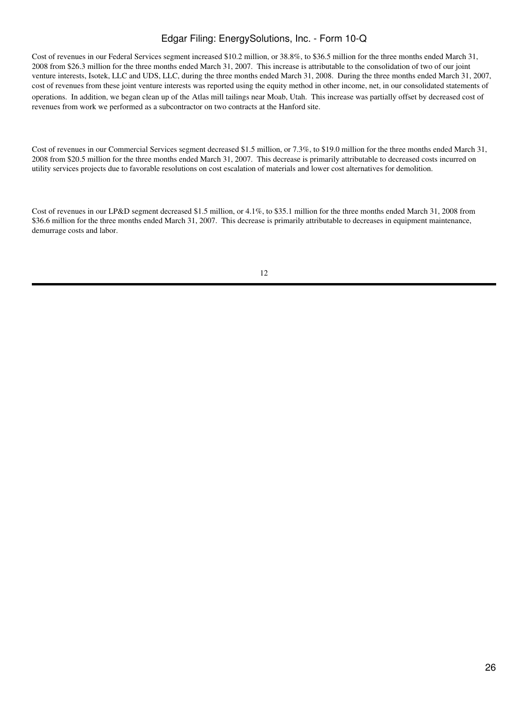Cost of revenues in our Federal Services segment increased \$10.2 million, or 38.8%, to \$36.5 million for the three months ended March 31, 2008 from \$26.3 million for the three months ended March 31, 2007. This increase is attributable to the consolidation of two of our joint venture interests, Isotek, LLC and UDS, LLC, during the three months ended March 31, 2008. During the three months ended March 31, 2007, cost of revenues from these joint venture interests was reported using the equity method in other income, net, in our consolidated statements of operations. In addition, we began clean up of the Atlas mill tailings near Moab, Utah. This increase was partially offset by decreased cost of revenues from work we performed as a subcontractor on two contracts at the Hanford site.

Cost of revenues in our Commercial Services segment decreased \$1.5 million, or 7.3%, to \$19.0 million for the three months ended March 31, 2008 from \$20.5 million for the three months ended March 31, 2007. This decrease is primarily attributable to decreased costs incurred on utility services projects due to favorable resolutions on cost escalation of materials and lower cost alternatives for demolition.

Cost of revenues in our LP&D segment decreased \$1.5 million, or 4.1%, to \$35.1 million for the three months ended March 31, 2008 from \$36.6 million for the three months ended March 31, 2007. This decrease is primarily attributable to decreases in equipment maintenance, demurrage costs and labor.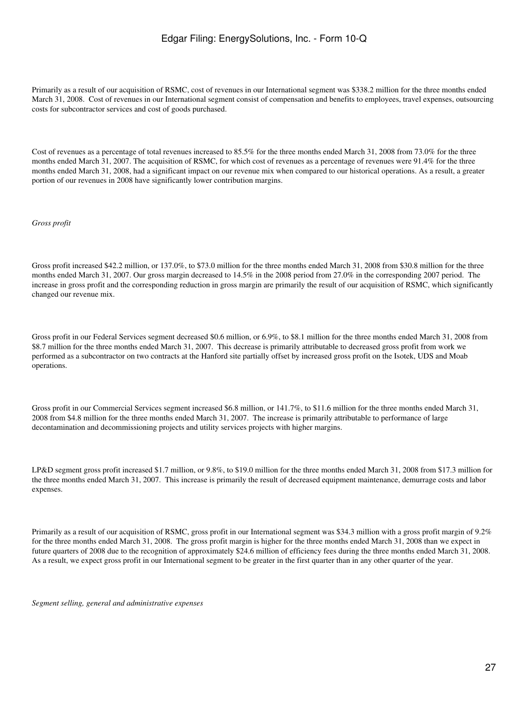Primarily as a result of our acquisition of RSMC, cost of revenues in our International segment was \$338.2 million for the three months ended March 31, 2008. Cost of revenues in our International segment consist of compensation and benefits to employees, travel expenses, outsourcing costs for subcontractor services and cost of goods purchased.

Cost of revenues as a percentage of total revenues increased to 85.5% for the three months ended March 31, 2008 from 73.0% for the three months ended March 31, 2007. The acquisition of RSMC, for which cost of revenues as a percentage of revenues were 91.4% for the three months ended March 31, 2008, had a significant impact on our revenue mix when compared to our historical operations. As a result, a greater portion of our revenues in 2008 have significantly lower contribution margins.

#### *Gross profit*

Gross profit increased \$42.2 million, or 137.0%, to \$73.0 million for the three months ended March 31, 2008 from \$30.8 million for the three months ended March 31, 2007. Our gross margin decreased to 14.5% in the 2008 period from 27.0% in the corresponding 2007 period. The increase in gross profit and the corresponding reduction in gross margin are primarily the result of our acquisition of RSMC, which significantly changed our revenue mix.

Gross profit in our Federal Services segment decreased \$0.6 million, or 6.9%, to \$8.1 million for the three months ended March 31, 2008 from \$8.7 million for the three months ended March 31, 2007. This decrease is primarily attributable to decreased gross profit from work we performed as a subcontractor on two contracts at the Hanford site partially offset by increased gross profit on the Isotek, UDS and Moab operations.

Gross profit in our Commercial Services segment increased \$6.8 million, or 141.7%, to \$11.6 million for the three months ended March 31, 2008 from \$4.8 million for the three months ended March 31, 2007. The increase is primarily attributable to performance of large decontamination and decommissioning projects and utility services projects with higher margins.

LP&D segment gross profit increased \$1.7 million, or 9.8%, to \$19.0 million for the three months ended March 31, 2008 from \$17.3 million for the three months ended March 31, 2007. This increase is primarily the result of decreased equipment maintenance, demurrage costs and labor expenses.

Primarily as a result of our acquisition of RSMC, gross profit in our International segment was \$34.3 million with a gross profit margin of 9.2% for the three months ended March 31, 2008. The gross profit margin is higher for the three months ended March 31, 2008 than we expect in future quarters of 2008 due to the recognition of approximately \$24.6 million of efficiency fees during the three months ended March 31, 2008. As a result, we expect gross profit in our International segment to be greater in the first quarter than in any other quarter of the year.

*Segment selling, general and administrative expenses*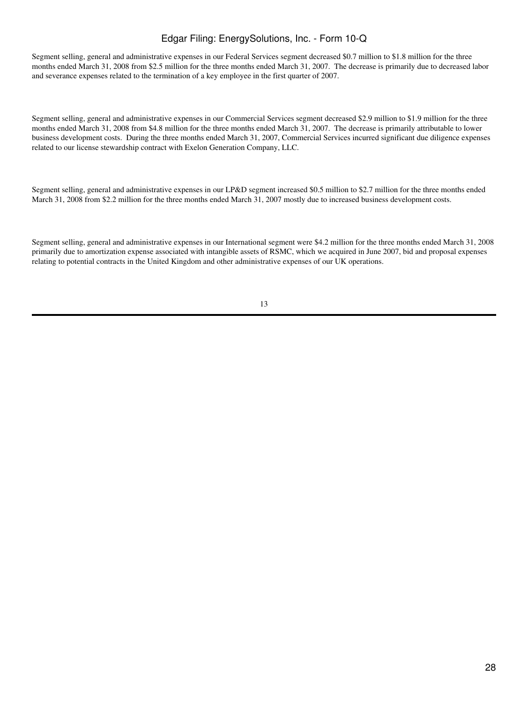Segment selling, general and administrative expenses in our Federal Services segment decreased \$0.7 million to \$1.8 million for the three months ended March 31, 2008 from \$2.5 million for the three months ended March 31, 2007. The decrease is primarily due to decreased labor and severance expenses related to the termination of a key employee in the first quarter of 2007.

Segment selling, general and administrative expenses in our Commercial Services segment decreased \$2.9 million to \$1.9 million for the three months ended March 31, 2008 from \$4.8 million for the three months ended March 31, 2007. The decrease is primarily attributable to lower business development costs. During the three months ended March 31, 2007, Commercial Services incurred significant due diligence expenses related to our license stewardship contract with Exelon Generation Company, LLC.

Segment selling, general and administrative expenses in our LP&D segment increased \$0.5 million to \$2.7 million for the three months ended March 31, 2008 from \$2.2 million for the three months ended March 31, 2007 mostly due to increased business development costs.

Segment selling, general and administrative expenses in our International segment were \$4.2 million for the three months ended March 31, 2008 primarily due to amortization expense associated with intangible assets of RSMC, which we acquired in June 2007, bid and proposal expenses relating to potential contracts in the United Kingdom and other administrative expenses of our UK operations.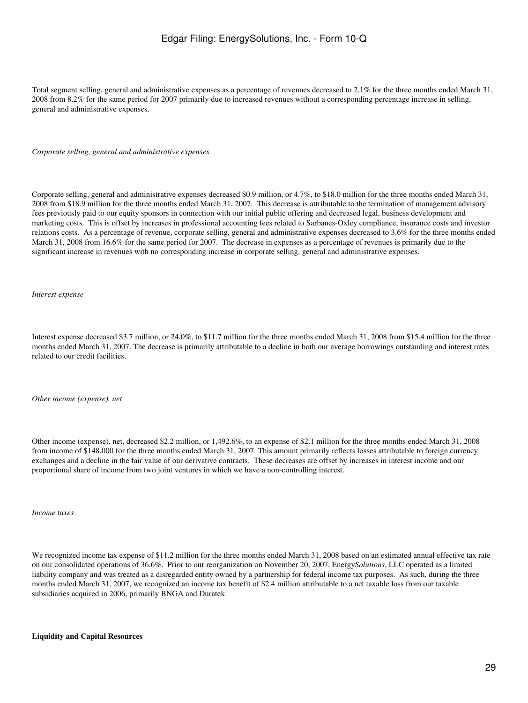Total segment selling, general and administrative expenses as a percentage of revenues decreased to 2.1% for the three months ended March 31, 2008 from 8.2% for the same period for 2007 primarily due to increased revenues without a corresponding percentage increase in selling, general and administrative expenses.

*Corporate selling, general and administrative expenses*

Corporate selling, general and administrative expenses decreased \$0.9 million, or 4.7%, to \$18.0 million for the three months ended March 31, 2008 from \$18.9 million for the three months ended March 31, 2007. This decrease is attributable to the termination of management advisory fees previously paid to our equity sponsors in connection with our initial public offering and decreased legal, business development and marketing costs. This is offset by increases in professional accounting fees related to Sarbanes-Oxley compliance, insurance costs and investor relations costs. As a percentage of revenue, corporate selling, general and administrative expenses decreased to 3.6% for the three months ended March 31, 2008 from 16.6% for the same period for 2007. The decrease in expenses as a percentage of revenues is primarily due to the significant increase in revenues with no corresponding increase in corporate selling, general and administrative expenses.

*Interest expense*

Interest expense decreased \$3.7 million, or 24.0%, to \$11.7 million for the three months ended March 31, 2008 from \$15.4 million for the three months ended March 31, 2007. The decrease is primarily attributable to a decline in both our average borrowings outstanding and interest rates related to our credit facilities.

*Other income (expense), net*

Other income (expense), net, decreased \$2.2 million, or 1,492.6%, to an expense of \$2.1 million for the three months ended March 31, 2008 from income of \$148,000 for the three months ended March 31, 2007. This amount primarily reflects losses attributable to foreign currency exchanges and a decline in the fair value of our derivative contracts. These decreases are offset by increases in interest income and our proportional share of income from two joint ventures in which we have a non-controlling interest.

*Income taxes*

We recognized income tax expense of \$11.2 million for the three months ended March 31, 2008 based on an estimated annual effective tax rate on our consolidated operations of 36.6%. Prior to our reorganization on November 20, 2007, Energy*Solutions*, LLC operated as a limited liability company and was treated as a disregarded entity owned by a partnership for federal income tax purposes. As such, during the three months ended March 31, 2007, we recognized an income tax benefit of \$2.4 million attributable to a net taxable loss from our taxable subsidiaries acquired in 2006, primarily BNGA and Duratek.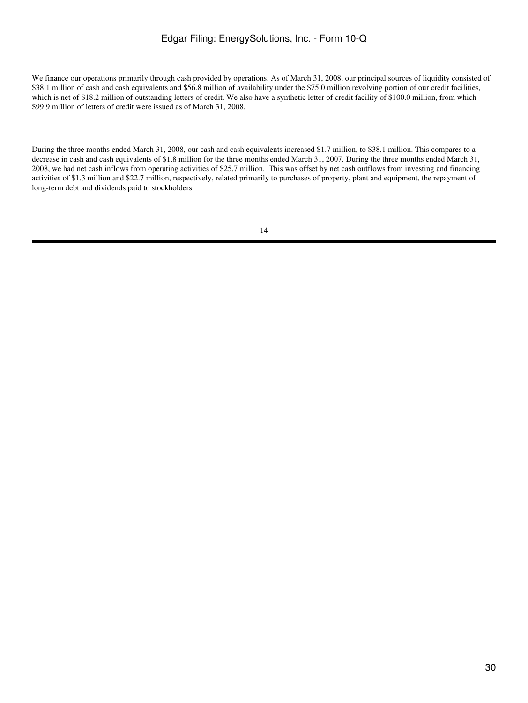We finance our operations primarily through cash provided by operations. As of March 31, 2008, our principal sources of liquidity consisted of \$38.1 million of cash and cash equivalents and \$56.8 million of availability under the \$75.0 million revolving portion of our credit facilities, which is net of \$18.2 million of outstanding letters of credit. We also have a synthetic letter of credit facility of \$100.0 million, from which \$99.9 million of letters of credit were issued as of March 31, 2008.

During the three months ended March 31, 2008, our cash and cash equivalents increased \$1.7 million, to \$38.1 million. This compares to a decrease in cash and cash equivalents of \$1.8 million for the three months ended March 31, 2007. During the three months ended March 31, 2008, we had net cash inflows from operating activities of \$25.7 million. This was offset by net cash outflows from investing and financing activities of \$1.3 million and \$22.7 million, respectively, related primarily to purchases of property, plant and equipment, the repayment of long-term debt and dividends paid to stockholders.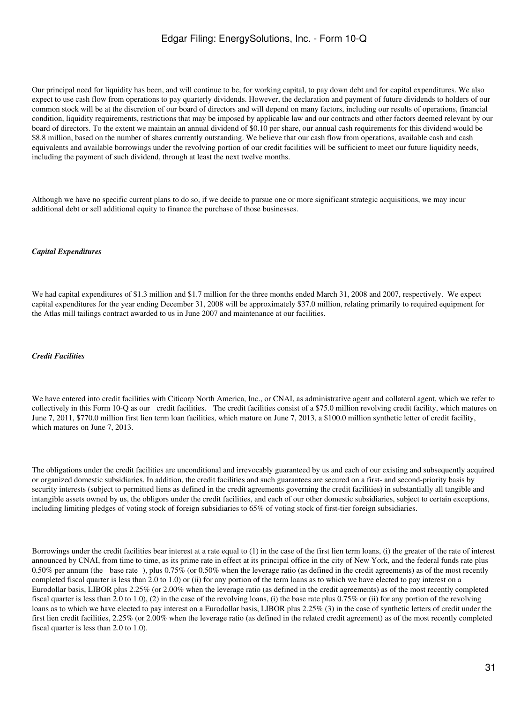Our principal need for liquidity has been, and will continue to be, for working capital, to pay down debt and for capital expenditures. We also expect to use cash flow from operations to pay quarterly dividends. However, the declaration and payment of future dividends to holders of our common stock will be at the discretion of our board of directors and will depend on many factors, including our results of operations, financial condition, liquidity requirements, restrictions that may be imposed by applicable law and our contracts and other factors deemed relevant by our board of directors. To the extent we maintain an annual dividend of \$0.10 per share, our annual cash requirements for this dividend would be \$8.8 million, based on the number of shares currently outstanding. We believe that our cash flow from operations, available cash and cash equivalents and available borrowings under the revolving portion of our credit facilities will be sufficient to meet our future liquidity needs, including the payment of such dividend, through at least the next twelve months.

Although we have no specific current plans to do so, if we decide to pursue one or more significant strategic acquisitions, we may incur additional debt or sell additional equity to finance the purchase of those businesses.

#### *Capital Expenditures*

We had capital expenditures of \$1.3 million and \$1.7 million for the three months ended March 31, 2008 and 2007, respectively. We expect capital expenditures for the year ending December 31, 2008 will be approximately \$37.0 million, relating primarily to required equipment for the Atlas mill tailings contract awarded to us in June 2007 and maintenance at our facilities.

### *Credit Facilities*

We have entered into credit facilities with Citicorp North America, Inc., or CNAI, as administrative agent and collateral agent, which we refer to collectively in this Form 10-Q as our credit facilities. The credit facilities consist of a \$75.0 million revolving credit facility, which matures on June 7, 2011, \$770.0 million first lien term loan facilities, which mature on June 7, 2013, a \$100.0 million synthetic letter of credit facility, which matures on June 7, 2013.

The obligations under the credit facilities are unconditional and irrevocably guaranteed by us and each of our existing and subsequently acquired or organized domestic subsidiaries. In addition, the credit facilities and such guarantees are secured on a first- and second-priority basis by security interests (subject to permitted liens as defined in the credit agreements governing the credit facilities) in substantially all tangible and intangible assets owned by us, the obligors under the credit facilities, and each of our other domestic subsidiaries, subject to certain exceptions, including limiting pledges of voting stock of foreign subsidiaries to 65% of voting stock of first-tier foreign subsidiaries.

Borrowings under the credit facilities bear interest at a rate equal to (1) in the case of the first lien term loans, (i) the greater of the rate of interest announced by CNAI, from time to time, as its prime rate in effect at its principal office in the city of New York, and the federal funds rate plus 0.50% per annum (the base rate), plus 0.75% (or 0.50% when the leverage ratio (as defined in the credit agreements) as of the most recently completed fiscal quarter is less than 2.0 to 1.0) or (ii) for any portion of the term loans as to which we have elected to pay interest on a Eurodollar basis, LIBOR plus 2.25% (or 2.00% when the leverage ratio (as defined in the credit agreements) as of the most recently completed fiscal quarter is less than 2.0 to 1.0), (2) in the case of the revolving loans, (i) the base rate plus 0.75% or (ii) for any portion of the revolving loans as to which we have elected to pay interest on a Eurodollar basis, LIBOR plus 2.25% (3) in the case of synthetic letters of credit under the first lien credit facilities, 2.25% (or 2.00% when the leverage ratio (as defined in the related credit agreement) as of the most recently completed fiscal quarter is less than 2.0 to 1.0).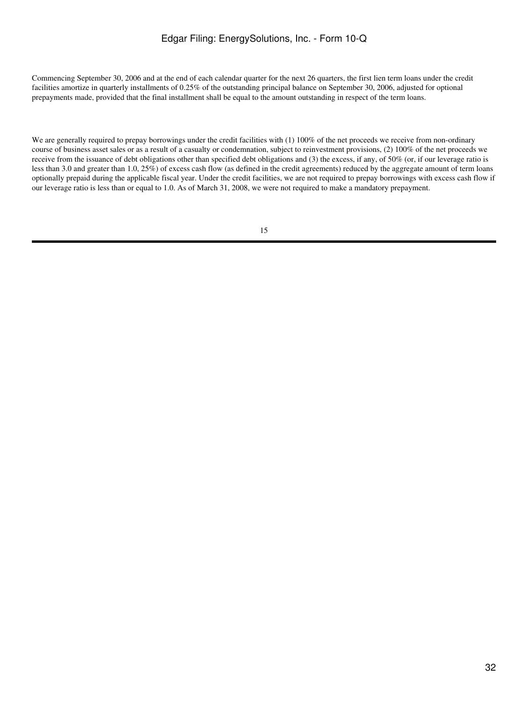Commencing September 30, 2006 and at the end of each calendar quarter for the next 26 quarters, the first lien term loans under the credit facilities amortize in quarterly installments of 0.25% of the outstanding principal balance on September 30, 2006, adjusted for optional prepayments made, provided that the final installment shall be equal to the amount outstanding in respect of the term loans.

We are generally required to prepay borrowings under the credit facilities with (1) 100% of the net proceeds we receive from non-ordinary course of business asset sales or as a result of a casualty or condemnation, subject to reinvestment provisions, (2) 100% of the net proceeds we receive from the issuance of debt obligations other than specified debt obligations and (3) the excess, if any, of 50% (or, if our leverage ratio is less than 3.0 and greater than 1.0, 25%) of excess cash flow (as defined in the credit agreements) reduced by the aggregate amount of term loans optionally prepaid during the applicable fiscal year. Under the credit facilities, we are not required to prepay borrowings with excess cash flow if our leverage ratio is less than or equal to 1.0. As of March 31, 2008, we were not required to make a mandatory prepayment.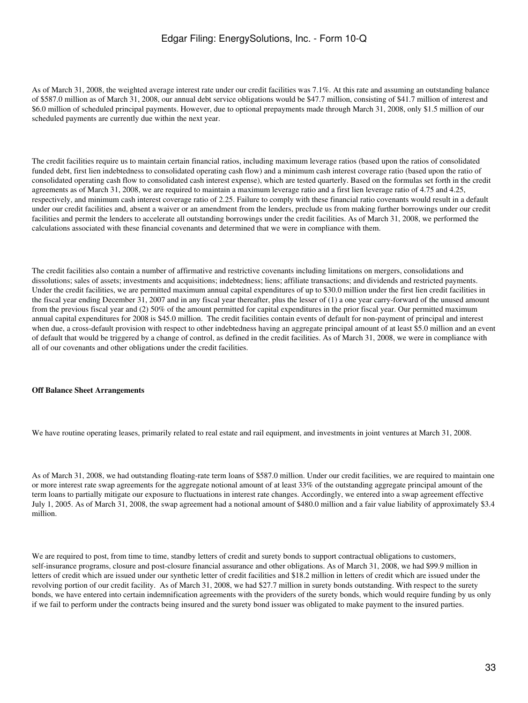As of March 31, 2008, the weighted average interest rate under our credit facilities was 7.1%. At this rate and assuming an outstanding balance of \$587.0 million as of March 31, 2008, our annual debt service obligations would be \$47.7 million, consisting of \$41.7 million of interest and \$6.0 million of scheduled principal payments. However, due to optional prepayments made through March 31, 2008, only \$1.5 million of our scheduled payments are currently due within the next year.

The credit facilities require us to maintain certain financial ratios, including maximum leverage ratios (based upon the ratios of consolidated funded debt, first lien indebtedness to consolidated operating cash flow) and a minimum cash interest coverage ratio (based upon the ratio of consolidated operating cash flow to consolidated cash interest expense), which are tested quarterly. Based on the formulas set forth in the credit agreements as of March 31, 2008, we are required to maintain a maximum leverage ratio and a first lien leverage ratio of 4.75 and 4.25, respectively, and minimum cash interest coverage ratio of 2.25. Failure to comply with these financial ratio covenants would result in a default under our credit facilities and, absent a waiver or an amendment from the lenders, preclude us from making further borrowings under our credit facilities and permit the lenders to accelerate all outstanding borrowings under the credit facilities. As of March 31, 2008, we performed the calculations associated with these financial covenants and determined that we were in compliance with them.

The credit facilities also contain a number of affirmative and restrictive covenants including limitations on mergers, consolidations and dissolutions; sales of assets; investments and acquisitions; indebtedness; liens; affiliate transactions; and dividends and restricted payments. Under the credit facilities, we are permitted maximum annual capital expenditures of up to \$30.0 million under the first lien credit facilities in the fiscal year ending December 31, 2007 and in any fiscal year thereafter, plus the lesser of (1) a one year carry-forward of the unused amount from the previous fiscal year and (2) 50% of the amount permitted for capital expenditures in the prior fiscal year. Our permitted maximum annual capital expenditures for 2008 is \$45.0 million. The credit facilities contain events of default for non-payment of principal and interest when due, a cross-default provision with respect to other indebtedness having an aggregate principal amount of at least \$5.0 million and an event of default that would be triggered by a change of control, as defined in the credit facilities. As of March 31, 2008, we were in compliance with all of our covenants and other obligations under the credit facilities.

#### **Off Balance Sheet Arrangements**

We have routine operating leases, primarily related to real estate and rail equipment, and investments in joint ventures at March 31, 2008.

As of March 31, 2008, we had outstanding floating-rate term loans of \$587.0 million. Under our credit facilities, we are required to maintain one or more interest rate swap agreements for the aggregate notional amount of at least 33% of the outstanding aggregate principal amount of the term loans to partially mitigate our exposure to fluctuations in interest rate changes. Accordingly, we entered into a swap agreement effective July 1, 2005. As of March 31, 2008, the swap agreement had a notional amount of \$480.0 million and a fair value liability of approximately \$3.4 million.

We are required to post, from time to time, standby letters of credit and surety bonds to support contractual obligations to customers, self-insurance programs, closure and post-closure financial assurance and other obligations. As of March 31, 2008, we had \$99.9 million in letters of credit which are issued under our synthetic letter of credit facilities and \$18.2 million in letters of credit which are issued under the revolving portion of our credit facility. As of March 31, 2008, we had \$27.7 million in surety bonds outstanding. With respect to the surety bonds, we have entered into certain indemnification agreements with the providers of the surety bonds, which would require funding by us only if we fail to perform under the contracts being insured and the surety bond issuer was obligated to make payment to the insured parties.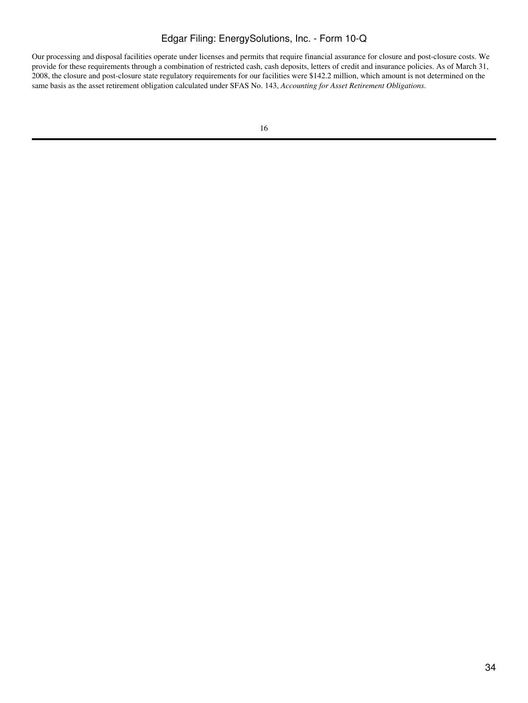Our processing and disposal facilities operate under licenses and permits that require financial assurance for closure and post-closure costs. We provide for these requirements through a combination of restricted cash, cash deposits, letters of credit and insurance policies. As of March 31, 2008, the closure and post-closure state regulatory requirements for our facilities were \$142.2 million, which amount is not determined on the same basis as the asset retirement obligation calculated under SFAS No. 143, *Accounting for Asset Retirement Obligations*.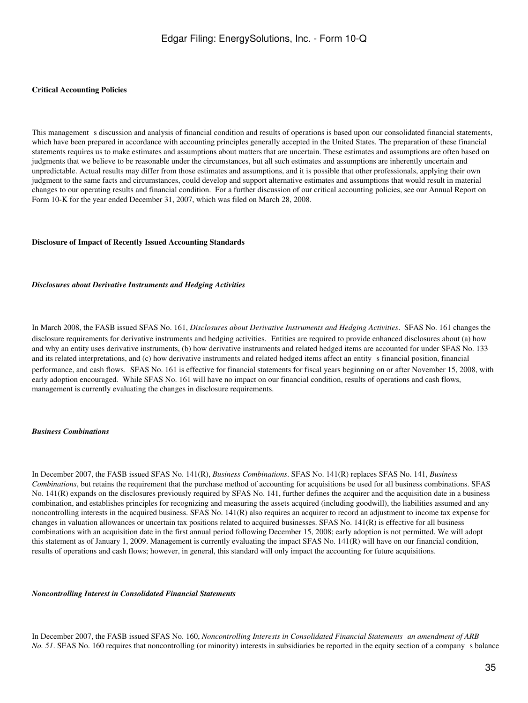#### **Critical Accounting Policies**

This management s discussion and analysis of financial condition and results of operations is based upon our consolidated financial statements, which have been prepared in accordance with accounting principles generally accepted in the United States. The preparation of these financial statements requires us to make estimates and assumptions about matters that are uncertain. These estimates and assumptions are often based on judgments that we believe to be reasonable under the circumstances, but all such estimates and assumptions are inherently uncertain and unpredictable. Actual results may differ from those estimates and assumptions, and it is possible that other professionals, applying their own judgment to the same facts and circumstances, could develop and support alternative estimates and assumptions that would result in material changes to our operating results and financial condition. For a further discussion of our critical accounting policies, see our Annual Report on Form 10-K for the year ended December 31, 2007, which was filed on March 28, 2008.

#### **Disclosure of Impact of Recently Issued Accounting Standards**

#### *Disclosures about Derivative Instruments and Hedging Activities*

In March 2008, the FASB issued SFAS No. 161, *Disclosures about Derivative Instruments and Hedging Activities*. SFAS No. 161 changes the disclosure requirements for derivative instruments and hedging activities. Entities are required to provide enhanced disclosures about (a) how and why an entity uses derivative instruments, (b) how derivative instruments and related hedged items are accounted for under SFAS No. 133 and its related interpretations, and (c) how derivative instruments and related hedged items affect an entity s financial position, financial performance, and cash flows. SFAS No. 161 is effective for financial statements for fiscal years beginning on or after November 15, 2008, with early adoption encouraged. While SFAS No. 161 will have no impact on our financial condition, results of operations and cash flows, management is currently evaluating the changes in disclosure requirements.

#### *Business Combinations*

In December 2007, the FASB issued SFAS No. 141(R), *Business Combinations*. SFAS No. 141(R) replaces SFAS No. 141, *Business Combinations*, but retains the requirement that the purchase method of accounting for acquisitions be used for all business combinations. SFAS No. 141(R) expands on the disclosures previously required by SFAS No. 141, further defines the acquirer and the acquisition date in a business combination, and establishes principles for recognizing and measuring the assets acquired (including goodwill), the liabilities assumed and any noncontrolling interests in the acquired business. SFAS No. 141(R) also requires an acquirer to record an adjustment to income tax expense for changes in valuation allowances or uncertain tax positions related to acquired businesses. SFAS No. 141(R) is effective for all business combinations with an acquisition date in the first annual period following December 15, 2008; early adoption is not permitted. We will adopt this statement as of January 1, 2009. Management is currently evaluating the impact SFAS No. 141(R) will have on our financial condition, results of operations and cash flows; however, in general, this standard will only impact the accounting for future acquisitions.

#### *Noncontrolling Interest in Consolidated Financial Statements*

In December 2007, the FASB issued SFAS No. 160, *Noncontrolling Interests in Consolidated Financial Statementsan amendment of ARB No.* 51. SFAS No. 160 requires that noncontrolling (or minority) interests in subsidiaries be reported in the equity section of a company s balance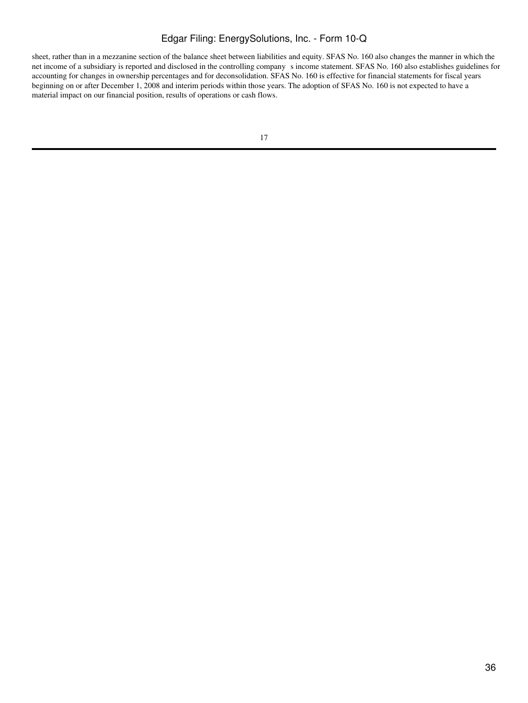sheet, rather than in a mezzanine section of the balance sheet between liabilities and equity. SFAS No. 160 also changes the manner in which the net income of a subsidiary is reported and disclosed in the controlling companys income statement. SFAS No. 160 also establishes guidelines for accounting for changes in ownership percentages and for deconsolidation. SFAS No. 160 is effective for financial statements for fiscal years beginning on or after December 1, 2008 and interim periods within those years. The adoption of SFAS No. 160 is not expected to have a material impact on our financial position, results of operations or cash flows.

<sup>17</sup>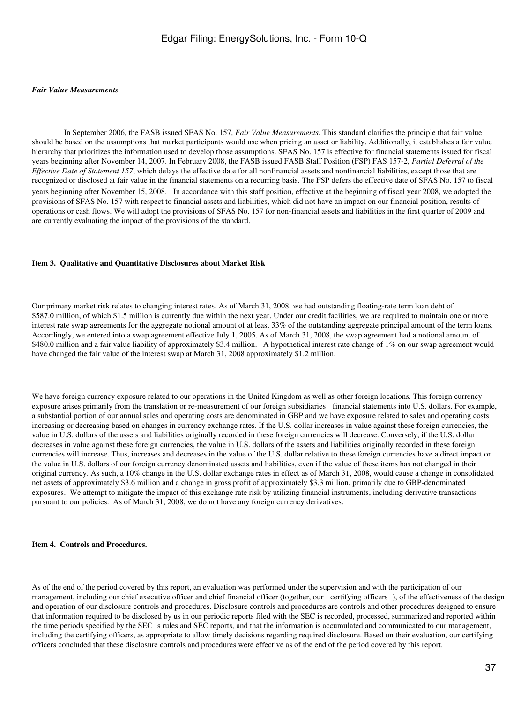#### *Fair Value Measurements*

 In September 2006, the FASB issued SFAS No. 157, *Fair Value Measurements*. This standard clarifies the principle that fair value should be based on the assumptions that market participants would use when pricing an asset or liability. Additionally, it establishes a fair value hierarchy that prioritizes the information used to develop those assumptions. SFAS No. 157 is effective for financial statements issued for fiscal years beginning after November 14, 2007. In February 2008, the FASB issued FASB Staff Position (FSP) FAS 157-2, *Partial Deferral of the Effective Date of Statement 157*, which delays the effective date for all nonfinancial assets and nonfinancial liabilities, except those that are recognized or disclosed at fair value in the financial statements on a recurring basis. The FSP defers the effective date of SFAS No. 157 to fiscal years beginning after November 15, 2008. In accordance with this staff position, effective at the beginning of fiscal year 2008, we adopted the provisions of SFAS No. 157 with respect to financial assets and liabilities, which did not have an impact on our financial position, results of operations or cash flows. We will adopt the provisions of SFAS No. 157 for non-financial assets and liabilities in the first quarter of 2009 and are currently evaluating the impact of the provisions of the standard.

#### <span id="page-36-0"></span>**Item 3. Qualitative and Quantitative Disclosures about Market Risk**

Our primary market risk relates to changing interest rates. As of March 31, 2008, we had outstanding floating-rate term loan debt of \$587.0 million, of which \$1.5 million is currently due within the next year. Under our credit facilities, we are required to maintain one or more interest rate swap agreements for the aggregate notional amount of at least 33% of the outstanding aggregate principal amount of the term loans. Accordingly, we entered into a swap agreement effective July 1, 2005. As of March 31, 2008, the swap agreement had a notional amount of \$480.0 million and a fair value liability of approximately \$3.4 million. A hypothetical interest rate change of 1% on our swap agreement would have changed the fair value of the interest swap at March 31, 2008 approximately \$1.2 million.

We have foreign currency exposure related to our operations in the United Kingdom as well as other foreign locations. This foreign currency exposure arises primarily from the translation or re-measurement of our foreign subsidiaries financial statements into U.S. dollars. For example, a substantial portion of our annual sales and operating costs are denominated in GBP and we have exposure related to sales and operating costs increasing or decreasing based on changes in currency exchange rates. If the U.S. dollar increases in value against these foreign currencies, the value in U.S. dollars of the assets and liabilities originally recorded in these foreign currencies will decrease. Conversely, if the U.S. dollar decreases in value against these foreign currencies, the value in U.S. dollars of the assets and liabilities originally recorded in these foreign currencies will increase. Thus, increases and decreases in the value of the U.S. dollar relative to these foreign currencies have a direct impact on the value in U.S. dollars of our foreign currency denominated assets and liabilities, even if the value of these items has not changed in their original currency. As such, a 10% change in the U.S. dollar exchange rates in effect as of March 31, 2008, would cause a change in consolidated net assets of approximately \$3.6 million and a change in gross profit of approximately \$3.3 million, primarily due to GBP-denominated exposures. We attempt to mitigate the impact of this exchange rate risk by utilizing financial instruments, including derivative transactions pursuant to our policies. As of March 31, 2008, we do not have any foreign currency derivatives.

### <span id="page-36-1"></span>**Item 4. Controls and Procedures.**

As of the end of the period covered by this report, an evaluation was performed under the supervision and with the participation of our management, including our chief executive officer and chief financial officer (together, our certifying officers), of the effectiveness of the design and operation of our disclosure controls and procedures. Disclosure controls and procedures are controls and other procedures designed to ensure that information required to be disclosed by us in our periodic reports filed with the SEC is recorded, processed, summarized and reported within the time periods specified by the SEC s rules and SEC reports, and that the information is accumulated and communicated to our management, including the certifying officers, as appropriate to allow timely decisions regarding required disclosure. Based on their evaluation, our certifying officers concluded that these disclosure controls and procedures were effective as of the end of the period covered by this report.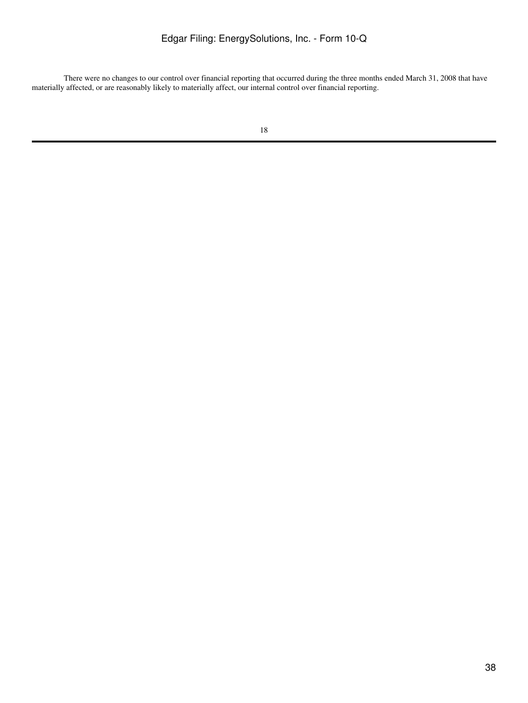There were no changes to our control over financial reporting that occurred during the three months ended March 31, 2008 that have materially affected, or are reasonably likely to materially affect, our internal control over financial reporting.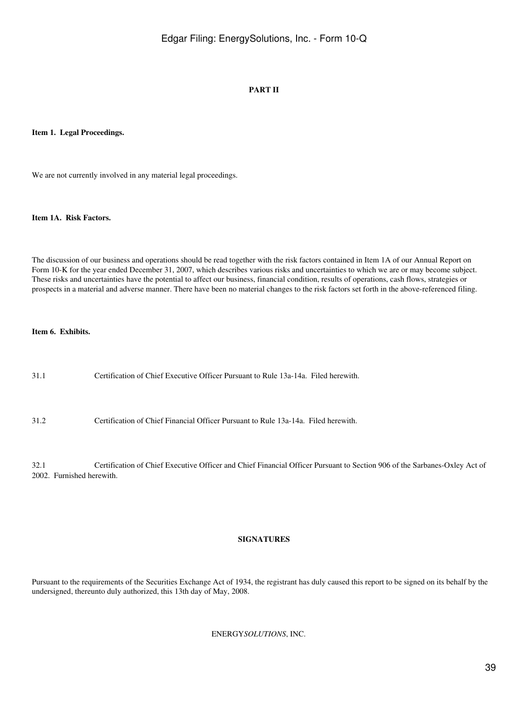## **PART II**

### <span id="page-38-1"></span><span id="page-38-0"></span>**Item 1. Legal Proceedings.**

We are not currently involved in any material legal proceedings.

#### <span id="page-38-2"></span>**Item 1A. Risk Factors.**

The discussion of our business and operations should be read together with the risk factors contained in Item 1A of our Annual Report on Form 10-K for the year ended December 31, 2007, which describes various risks and uncertainties to which we are or may become subject. These risks and uncertainties have the potential to affect our business, financial condition, results of operations, cash flows, strategies or prospects in a material and adverse manner. There have been no material changes to the risk factors set forth in the above-referenced filing.

## <span id="page-38-3"></span>**Item 6. Exhibits.**

| 31.1 | Certification of Chief Executive Officer Pursuant to Rule 13a-14a. Filed herewith.                                        |
|------|---------------------------------------------------------------------------------------------------------------------------|
| 31.2 | Certification of Chief Financial Officer Pursuant to Rule 13a-14a. Filed herewith.                                        |
| 32.1 | Certification of Chief Executive Officer and Chief Financial Officer Pursuant to Section 906 of the Sarbanes-Oxley Act of |

2002. Furnished herewith.

#### **SIGNATURES**

<span id="page-38-4"></span>Pursuant to the requirements of the Securities Exchange Act of 1934, the registrant has duly caused this report to be signed on its behalf by the undersigned, thereunto duly authorized, this 13th day of May, 2008.

### ENERGY*SOLUTIONS*, INC.